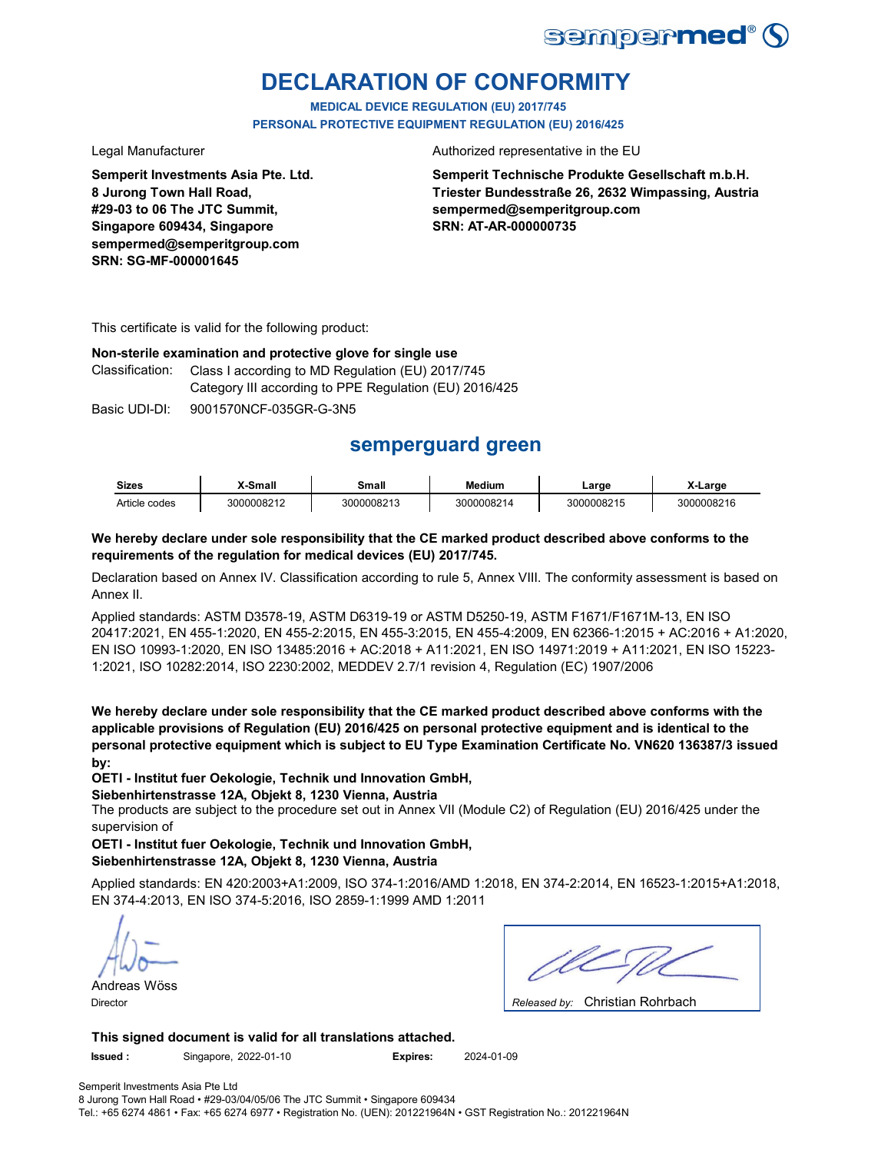

# **DECLARATION OF CONFORMITY**

**MEDICAL DEVICE REGULATION (EU) 2017/745 PERSONAL PROTECTIVE EQUIPMENT REGULATION (EU) 2016/425**

**Semperit Investments Asia Pte. Ltd. 8 Jurong Town Hall Road, #29-03 to 06 The JTC Summit, Singapore 609434, Singapore sempermed@semperitgroup.com SRN: SG-MF-000001645**

Legal Manufacturer **Authorized** representative in the EU

**Semperit Technische Produkte Gesellschaft m.b.H. Triester Bundesstraße 26, 2632 Wimpassing, Austria sempermed@semperitgroup.com SRN: AT-AR-000000735**

This certificate is valid for the following product:

**Non-sterile examination and protective glove for single use**

Class I according to MD Regulation (EU) 2017/745 Category III according to PPE Regulation (EU) 2016/425 Classification:

Basic UDI-DI: 9001570NCF-035GR-G-3N5

# **semperguard green**

| <b>Sizes</b>  | -Small     | Small      | Medium     | ∟arɑe      | X-Large    |
|---------------|------------|------------|------------|------------|------------|
| Article codes | 3000008212 | 3000008213 | 3000008214 | 3000008215 | 3000008216 |

#### **We hereby declare under sole responsibility that the CE marked product described above conforms to the requirements of the regulation for medical devices (EU) 2017/745.**

Declaration based on Annex IV. Classification according to rule 5, Annex VIII. The conformity assessment is based on Annex II.

Applied standards: ASTM D3578-19, ASTM D6319-19 or ASTM D5250-19, ASTM F1671/F1671M-13, EN ISO 20417:2021, EN 455-1:2020, EN 455-2:2015, EN 455-3:2015, EN 455-4:2009, EN 62366-1:2015 + AC:2016 + A1:2020, EN ISO 10993-1:2020, EN ISO 13485:2016 + AC:2018 + A11:2021, EN ISO 14971:2019 + A11:2021, EN ISO 15223- 1:2021, ISO 10282:2014, ISO 2230:2002, MEDDEV 2.7/1 revision 4, Regulation (EC) 1907/2006

**We hereby declare under sole responsibility that the CE marked product described above conforms with the applicable provisions of Regulation (EU) 2016/425 on personal protective equipment and is identical to the personal protective equipment which is subject to EU Type Examination Certificate No. VN620 136387/3 issued by:**

**OETI - Institut fuer Oekologie, Technik und Innovation GmbH,** 

#### **Siebenhirtenstrasse 12A, Objekt 8, 1230 Vienna, Austria**

The products are subject to the procedure set out in Annex VII (Module C2) of Regulation (EU) 2016/425 under the supervision of

**OETI - Institut fuer Oekologie, Technik und Innovation GmbH, Siebenhirtenstrasse 12A, Objekt 8, 1230 Vienna, Austria**

Applied standards: EN 420:2003+A1:2009, ISO 374-1:2016/AMD 1:2018, EN 374-2:2014, EN 16523-1:2015+A1:2018, EN 374-4:2013, EN ISO 374-5:2016, ISO 2859-1:1999 AMD 1:2011

Andreas Wöss

| $\sim$ $\sim$ $\sim$ $\sim$ $\sim$ $\sim$ $\sim$<br>$\sim$ $\sim$ |
|-------------------------------------------------------------------|

Christian Rohrbach Director *Released by:* 

**This signed document is valid for all translations attached.**

**Issued :** Singapore, 2022-01-10 **Expires:** 2024-01-09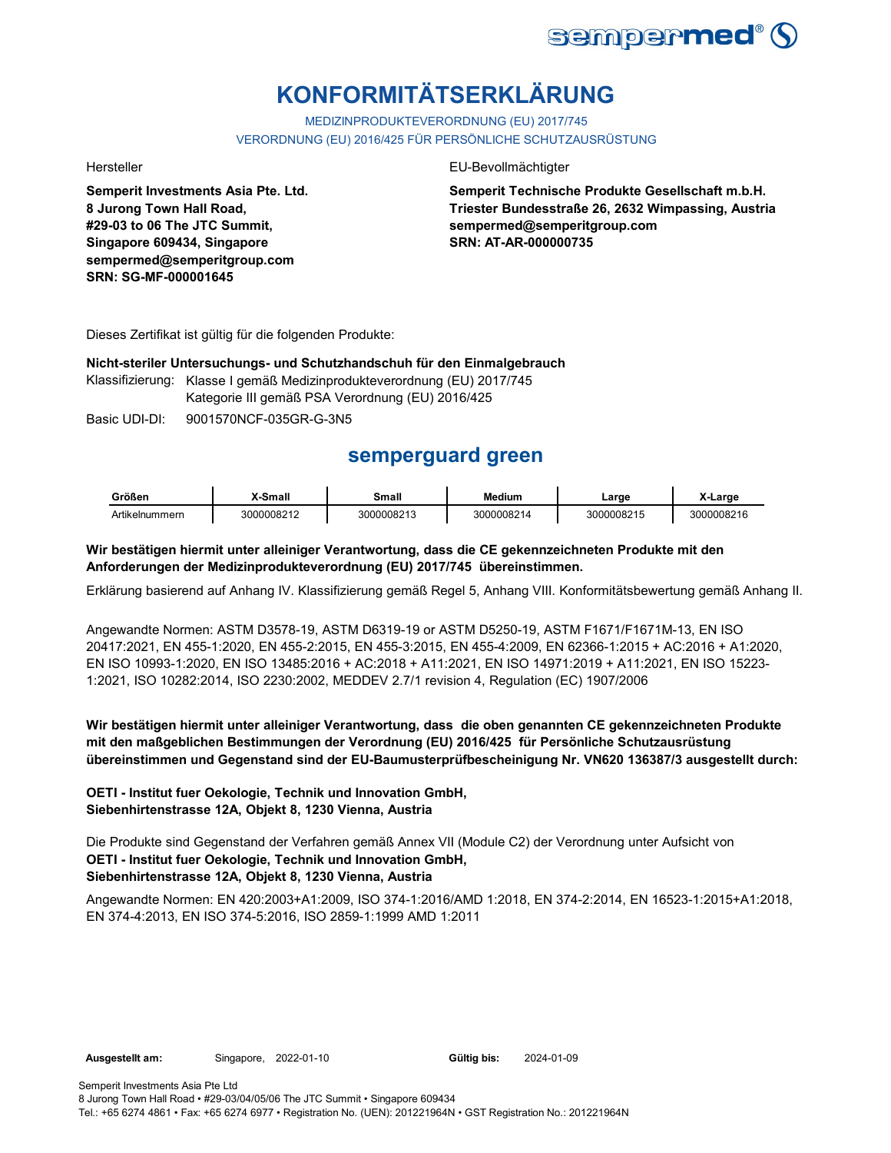

# **KONFORMITÄTSERKLÄRUNG**

MEDIZINPRODUKTEVERORDNUNG (EU) 2017/745 VERORDNUNG (EU) 2016/425 FÜR PERSÖNLICHE SCHUTZAUSRÜSTUNG

**Semperit Investments Asia Pte. Ltd. 8 Jurong Town Hall Road, #29-03 to 06 The JTC Summit, Singapore 609434, Singapore sempermed@semperitgroup.com SRN: SG-MF-000001645**

#### Hersteller EU-Bevollmächtigter

**Semperit Technische Produkte Gesellschaft m.b.H. Triester Bundesstraße 26, 2632 Wimpassing, Austria sempermed@semperitgroup.com SRN: AT-AR-000000735**

Dieses Zertifikat ist gültig für die folgenden Produkte:

#### **Nicht-steriler Untersuchungs- und Schutzhandschuh für den Einmalgebrauch**

Klassifizierung: Klasse I gemäß Medizinprodukteverordnung (EU) 2017/745 Kategorie III gemäß PSA Verordnung (EU) 2016/425

Basic UDI-DI: 9001570NCF-035GR-G-3N5

## **semperguard green**

| Größen         | -Small     | <b>Small</b> | <b>Medium</b> | ∟arɑe      | _arge      |
|----------------|------------|--------------|---------------|------------|------------|
| Artikelnummern | 3000008212 | 3000008213   | 3000008214    | 3000008215 | 3000008216 |

#### **Wir bestätigen hiermit unter alleiniger Verantwortung, dass die CE gekennzeichneten Produkte mit den Anforderungen der Medizinprodukteverordnung (EU) 2017/745 übereinstimmen.**

Erklärung basierend auf Anhang IV. Klassifizierung gemäß Regel 5, Anhang VIII. Konformitätsbewertung gemäß Anhang II.

Angewandte Normen: ASTM D3578-19, ASTM D6319-19 or ASTM D5250-19, ASTM F1671/F1671M-13, EN ISO 20417:2021, EN 455-1:2020, EN 455-2:2015, EN 455-3:2015, EN 455-4:2009, EN 62366-1:2015 + AC:2016 + A1:2020, EN ISO 10993-1:2020, EN ISO 13485:2016 + AC:2018 + A11:2021, EN ISO 14971:2019 + A11:2021, EN ISO 15223- 1:2021, ISO 10282:2014, ISO 2230:2002, MEDDEV 2.7/1 revision 4, Regulation (EC) 1907/2006

### **Wir bestätigen hiermit unter alleiniger Verantwortung, dass die oben genannten CE gekennzeichneten Produkte mit den maßgeblichen Bestimmungen der Verordnung (EU) 2016/425 für Persönliche Schutzausrüstung übereinstimmen und Gegenstand sind der EU-Baumusterprüfbescheinigung Nr. VN620 136387/3 ausgestellt durch:**

### **OETI - Institut fuer Oekologie, Technik und Innovation GmbH, Siebenhirtenstrasse 12A, Objekt 8, 1230 Vienna, Austria**

Die Produkte sind Gegenstand der Verfahren gemäß Annex VII (Module C2) der Verordnung unter Aufsicht von **OETI - Institut fuer Oekologie, Technik und Innovation GmbH, Siebenhirtenstrasse 12A, Objekt 8, 1230 Vienna, Austria**

Angewandte Normen: EN 420:2003+A1:2009, ISO 374-1:2016/AMD 1:2018, EN 374-2:2014, EN 16523-1:2015+A1:2018, EN 374-4:2013, EN ISO 374-5:2016, ISO 2859-1:1999 AMD 1:2011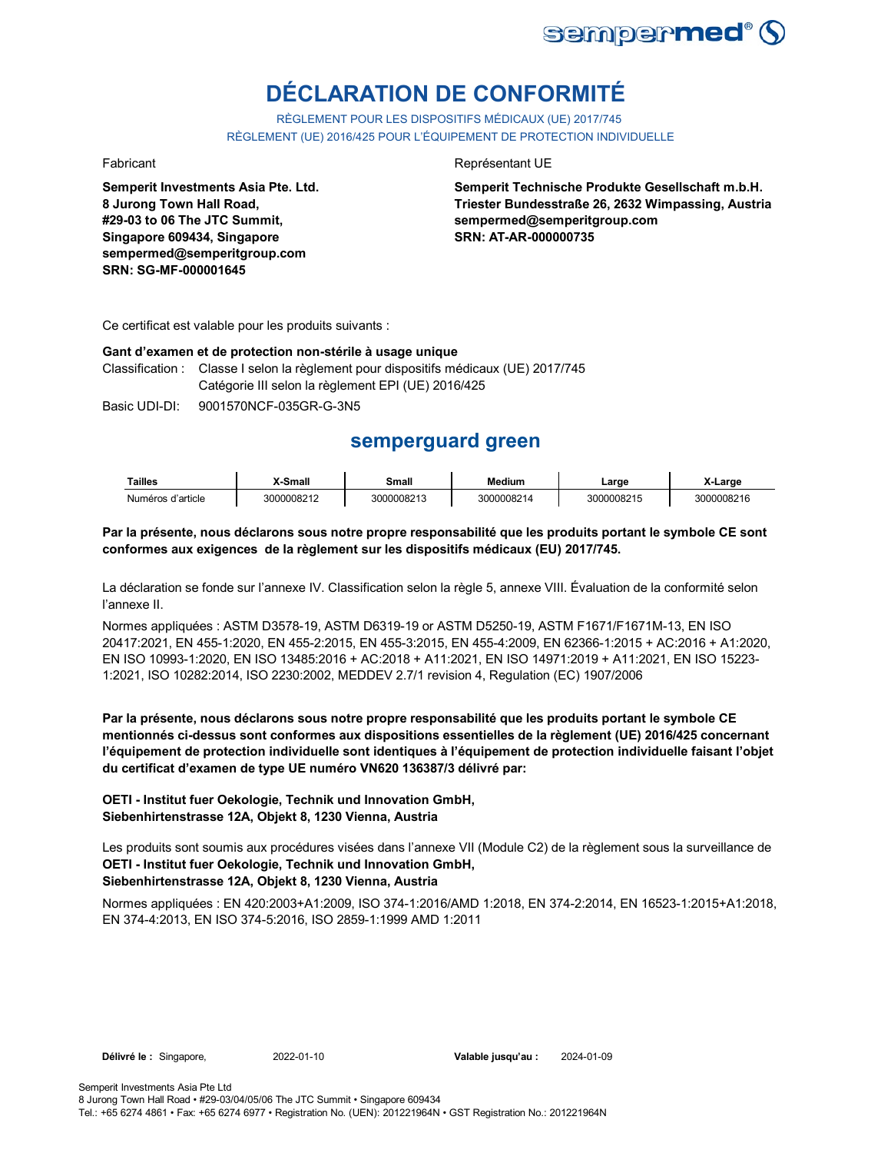

# **DÉCLARATION DE CONFORMITÉ**

RÈGLEMENT POUR LES DISPOSITIFS MÉDICAUX (UE) 2017/745 RÈGLEMENT (UE) 2016/425 POUR L'ÉQUIPEMENT DE PROTECTION INDIVIDUELLE

**Semperit Investments Asia Pte. Ltd. 8 Jurong Town Hall Road, #29-03 to 06 The JTC Summit, Singapore 609434, Singapore sempermed@semperitgroup.com SRN: SG-MF-000001645**

#### Fabricant **Représentant UE**

**Semperit Technische Produkte Gesellschaft m.b.H. Triester Bundesstraße 26, 2632 Wimpassing, Austria sempermed@semperitgroup.com SRN: AT-AR-000000735**

Ce certificat est valable pour les produits suivants :

#### **Gant d'examen et de protection non-stérile à usage unique**

Classification : Classe I selon la règlement pour dispositifs médicaux (UE) 2017/745 Catégorie III selon la règlement EPI (UE) 2016/425

Basic UDI-DI: 9001570NCF-035GR-G-3N5

## **semperguard green**

| Tailles           | -Small     | Small      | Medium     | ∟arge      | X-Large    |
|-------------------|------------|------------|------------|------------|------------|
| Numéros d'article | 3000008212 | 3000008213 | 3000008214 | 3000008215 | 3000008216 |

#### **Par la présente, nous déclarons sous notre propre responsabilité que les produits portant le symbole CE sont conformes aux exigences de la règlement sur les dispositifs médicaux (EU) 2017/745.**

La déclaration se fonde sur l'annexe IV. Classification selon la règle 5, annexe VIII. Évaluation de la conformité selon l'annexe II.

Normes appliquées : ASTM D3578-19, ASTM D6319-19 or ASTM D5250-19, ASTM F1671/F1671M-13, EN ISO 20417:2021, EN 455-1:2020, EN 455-2:2015, EN 455-3:2015, EN 455-4:2009, EN 62366-1:2015 + AC:2016 + A1:2020, EN ISO 10993-1:2020, EN ISO 13485:2016 + AC:2018 + A11:2021, EN ISO 14971:2019 + A11:2021, EN ISO 15223- 1:2021, ISO 10282:2014, ISO 2230:2002, MEDDEV 2.7/1 revision 4, Regulation (EC) 1907/2006

**Par la présente, nous déclarons sous notre propre responsabilité que les produits portant le symbole CE mentionnés ci-dessus sont conformes aux dispositions essentielles de la règlement (UE) 2016/425 concernant l'équipement de protection individuelle sont identiques à l'équipement de protection individuelle faisant l'objet du certificat d'examen de type UE numéro VN620 136387/3 délivré par:**

### **OETI - Institut fuer Oekologie, Technik und Innovation GmbH, Siebenhirtenstrasse 12A, Objekt 8, 1230 Vienna, Austria**

Les produits sont soumis aux procédures visées dans l'annexe VII (Module C2) de la règlement sous la surveillance de **OETI - Institut fuer Oekologie, Technik und Innovation GmbH, Siebenhirtenstrasse 12A, Objekt 8, 1230 Vienna, Austria**

Normes appliquées : EN 420:2003+A1:2009, ISO 374-1:2016/AMD 1:2018, EN 374-2:2014, EN 16523-1:2015+A1:2018, EN 374-4:2013, EN ISO 374-5:2016, ISO 2859-1:1999 AMD 1:2011

**Délivré le :** Singapore, 2022-01-10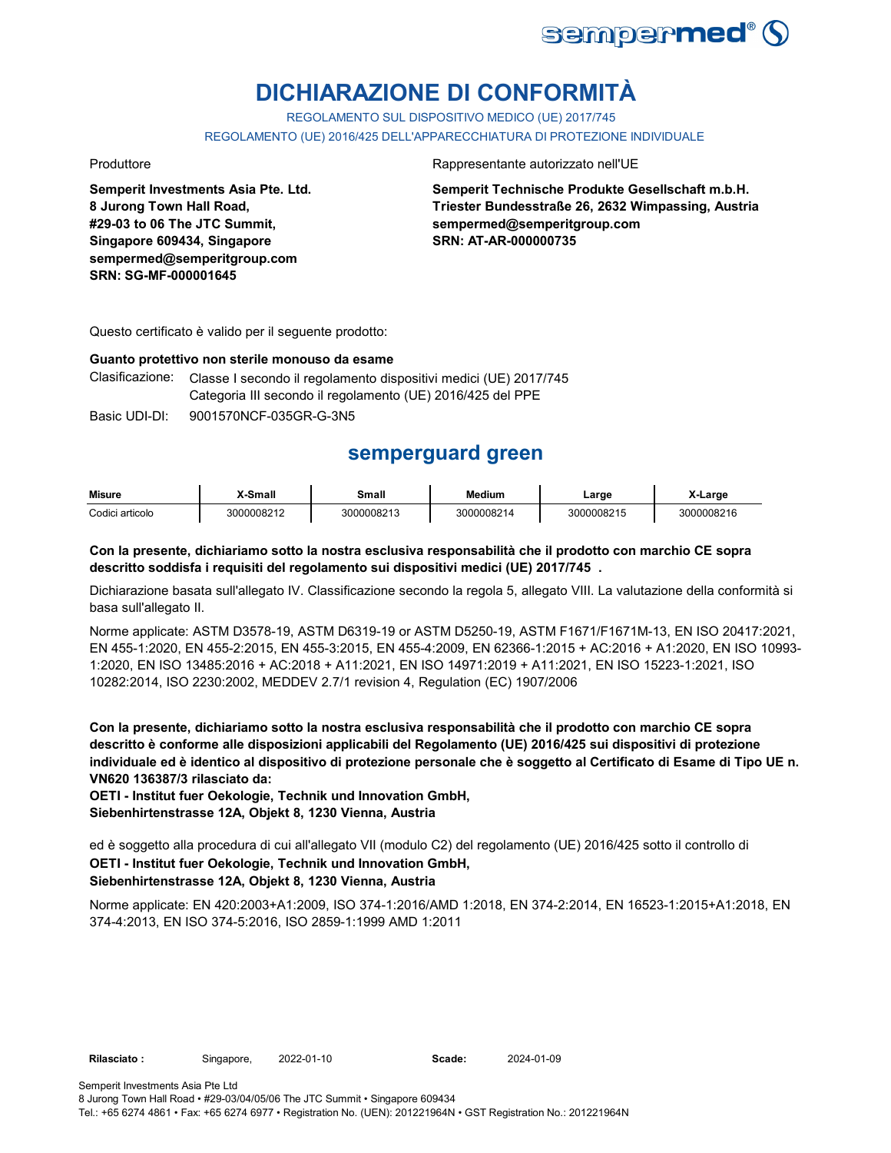

# **DICHIARAZIONE DI CONFORMITÀ**

REGOLAMENTO SUL DISPOSITIVO MEDICO (UE) 2017/745 REGOLAMENTO (UE) 2016/425 DELL'APPARECCHIATURA DI PROTEZIONE INDIVIDUALE

**Semperit Investments Asia Pte. Ltd. 8 Jurong Town Hall Road, #29-03 to 06 The JTC Summit, Singapore 609434, Singapore sempermed@semperitgroup.com SRN: SG-MF-000001645**

Produttore Rappresentante autorizzato nell'UE

**Semperit Technische Produkte Gesellschaft m.b.H. Triester Bundesstraße 26, 2632 Wimpassing, Austria sempermed@semperitgroup.com SRN: AT-AR-000000735**

Questo certificato è valido per il seguente prodotto:

#### **Guanto protettivo non sterile monouso da esame**

Clasificazione: Classe I secondo il regolamento dispositivi medici (UE) 2017/745 Categoria III secondo il regolamento (UE) 2016/425 del PPE

Basic UDI-DI: 9001570NCF-035GR-G-3N5 9001570NCF-035GR-G-3

## **semperguard green**

| <b>Misure</b>   | X-Small    | Small      | <b>Medium</b> | Large      | -Large     |
|-----------------|------------|------------|---------------|------------|------------|
| Codici articolo | 3000008212 | 3000008213 | 3000008214    | 3000008215 | 3000008216 |

#### **Con la presente, dichiariamo sotto la nostra esclusiva responsabilità che il prodotto con marchio CE sopra descritto soddisfa i requisiti del regolamento sui dispositivi medici (UE) 2017/745 .**

Dichiarazione basata sull'allegato IV. Classificazione secondo la regola 5, allegato VIII. La valutazione della conformità si basa sull'allegato II.

Norme applicate: ASTM D3578-19, ASTM D6319-19 or ASTM D5250-19, ASTM F1671/F1671M-13, EN ISO 20417:2021, EN 455-1:2020, EN 455-2:2015, EN 455-3:2015, EN 455-4:2009, EN 62366-1:2015 + AC:2016 + A1:2020, EN ISO 10993- 1:2020, EN ISO 13485:2016 + AC:2018 + A11:2021, EN ISO 14971:2019 + A11:2021, EN ISO 15223-1:2021, ISO 10282:2014, ISO 2230:2002, MEDDEV 2.7/1 revision 4, Regulation (EC) 1907/2006

**Con la presente, dichiariamo sotto la nostra esclusiva responsabilità che il prodotto con marchio CE sopra descritto è conforme alle disposizioni applicabili del Regolamento (UE) 2016/425 sui dispositivi di protezione individuale ed è identico al dispositivo di protezione personale che è soggetto al Certificato di Esame di Tipo UE n. VN620 136387/3 rilasciato da:**

**OETI - Institut fuer Oekologie, Technik und Innovation GmbH, Siebenhirtenstrasse 12A, Objekt 8, 1230 Vienna, Austria**

ed è soggetto alla procedura di cui all'allegato VII (modulo C2) del regolamento (UE) 2016/425 sotto il controllo di **OETI - Institut fuer Oekologie, Technik und Innovation GmbH,** 

## **Siebenhirtenstrasse 12A, Objekt 8, 1230 Vienna, Austria**

Norme applicate: EN 420:2003+A1:2009, ISO 374-1:2016/AMD 1:2018, EN 374-2:2014, EN 16523-1:2015+A1:2018, EN 374-4:2013, EN ISO 374-5:2016, ISO 2859-1:1999 AMD 1:2011

2024-01-09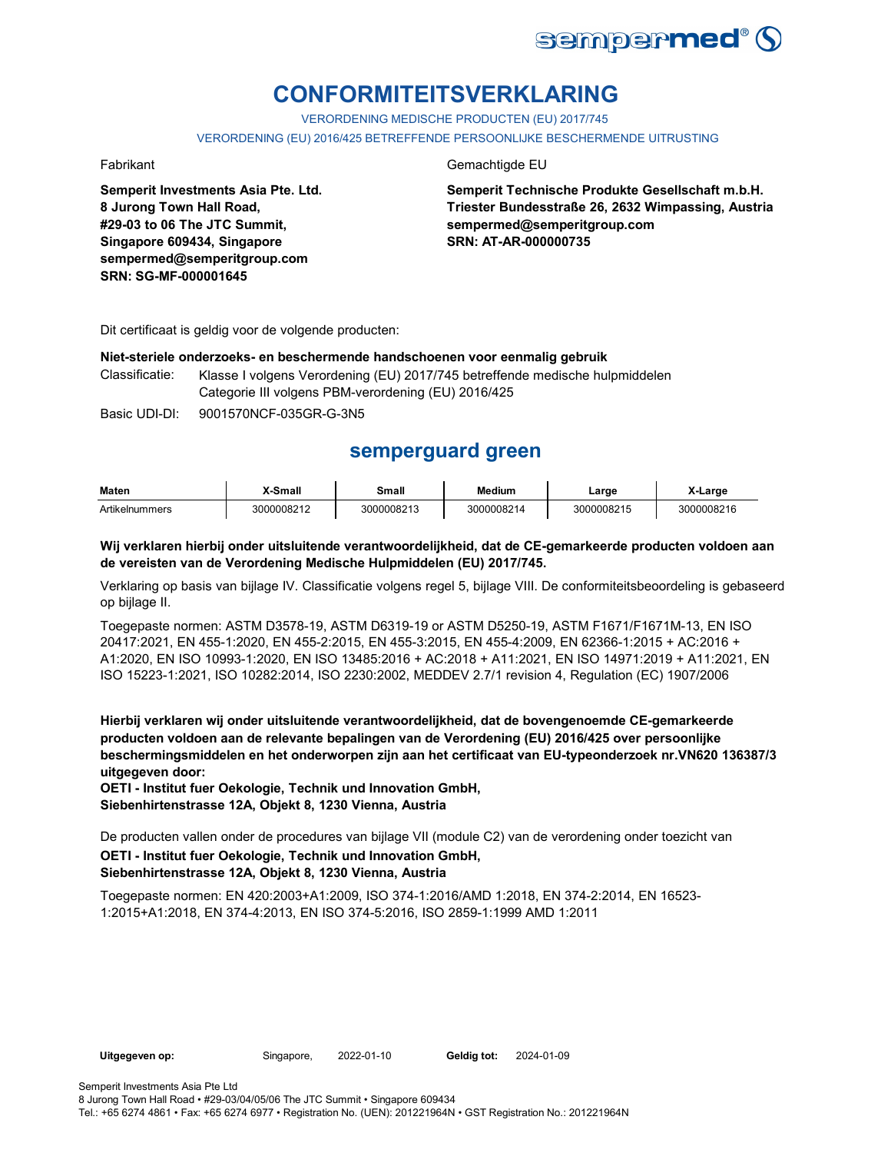

# **CONFORMITEITSVERKLARING**

VERORDENING MEDISCHE PRODUCTEN (EU) 2017/745

VERORDENING (EU) 2016/425 BETREFFENDE PERSOONLIJKE BESCHERMENDE UITRUSTING

**Semperit Investments Asia Pte. Ltd. 8 Jurong Town Hall Road, #29-03 to 06 The JTC Summit, Singapore 609434, Singapore sempermed@semperitgroup.com SRN: SG-MF-000001645**

#### Fabrikant Gemachtigde EU

**Semperit Technische Produkte Gesellschaft m.b.H. Triester Bundesstraße 26, 2632 Wimpassing, Austria sempermed@semperitgroup.com SRN: AT-AR-000000735**

Dit certificaat is geldig voor de volgende producten:

#### **Niet-steriele onderzoeks- en beschermende handschoenen voor eenmalig gebruik**

Classificatie: Klasse I volgens Verordening (EU) 2017/745 betreffende medische hulpmiddelen Categorie III volgens PBM-verordening (EU) 2016/425

Basic UDI-DI: 9001570NCF-035GR-G-3N5

## **semperguard green**

| Maten          | ` Small    | Small      | <b>Medium</b> | Large      | X-Larɑe    |
|----------------|------------|------------|---------------|------------|------------|
| Artikelnummers | 3000008212 | 3000008213 | 3000008214    | 3000008215 | 3000008216 |

**Wij verklaren hierbij onder uitsluitende verantwoordelijkheid, dat de CE-gemarkeerde producten voldoen aan de vereisten van de Verordening Medische Hulpmiddelen (EU) 2017/745.**

Verklaring op basis van bijlage IV. Classificatie volgens regel 5, bijlage VIII. De conformiteitsbeoordeling is gebaseerd op bijlage II.

Toegepaste normen: ASTM D3578-19, ASTM D6319-19 or ASTM D5250-19, ASTM F1671/F1671M-13, EN ISO 20417:2021, EN 455-1:2020, EN 455-2:2015, EN 455-3:2015, EN 455-4:2009, EN 62366-1:2015 + AC:2016 + A1:2020, EN ISO 10993-1:2020, EN ISO 13485:2016 + AC:2018 + A11:2021, EN ISO 14971:2019 + A11:2021, EN ISO 15223-1:2021, ISO 10282:2014, ISO 2230:2002, MEDDEV 2.7/1 revision 4, Regulation (EC) 1907/2006

**Hierbij verklaren wij onder uitsluitende verantwoordelijkheid, dat de bovengenoemde CE-gemarkeerde producten voldoen aan de relevante bepalingen van de Verordening (EU) 2016/425 over persoonlijke beschermingsmiddelen en het onderworpen zijn aan het certificaat van EU-typeonderzoek nr.VN620 136387/3 uitgegeven door:**

**OETI - Institut fuer Oekologie, Technik und Innovation GmbH, Siebenhirtenstrasse 12A, Objekt 8, 1230 Vienna, Austria**

De producten vallen onder de procedures van bijlage VII (module C2) van de verordening onder toezicht van

#### **OETI - Institut fuer Oekologie, Technik und Innovation GmbH, Siebenhirtenstrasse 12A, Objekt 8, 1230 Vienna, Austria**

Toegepaste normen: EN 420:2003+A1:2009, ISO 374-1:2016/AMD 1:2018, EN 374-2:2014, EN 16523- 1:2015+A1:2018, EN 374-4:2013, EN ISO 374-5:2016, ISO 2859-1:1999 AMD 1:2011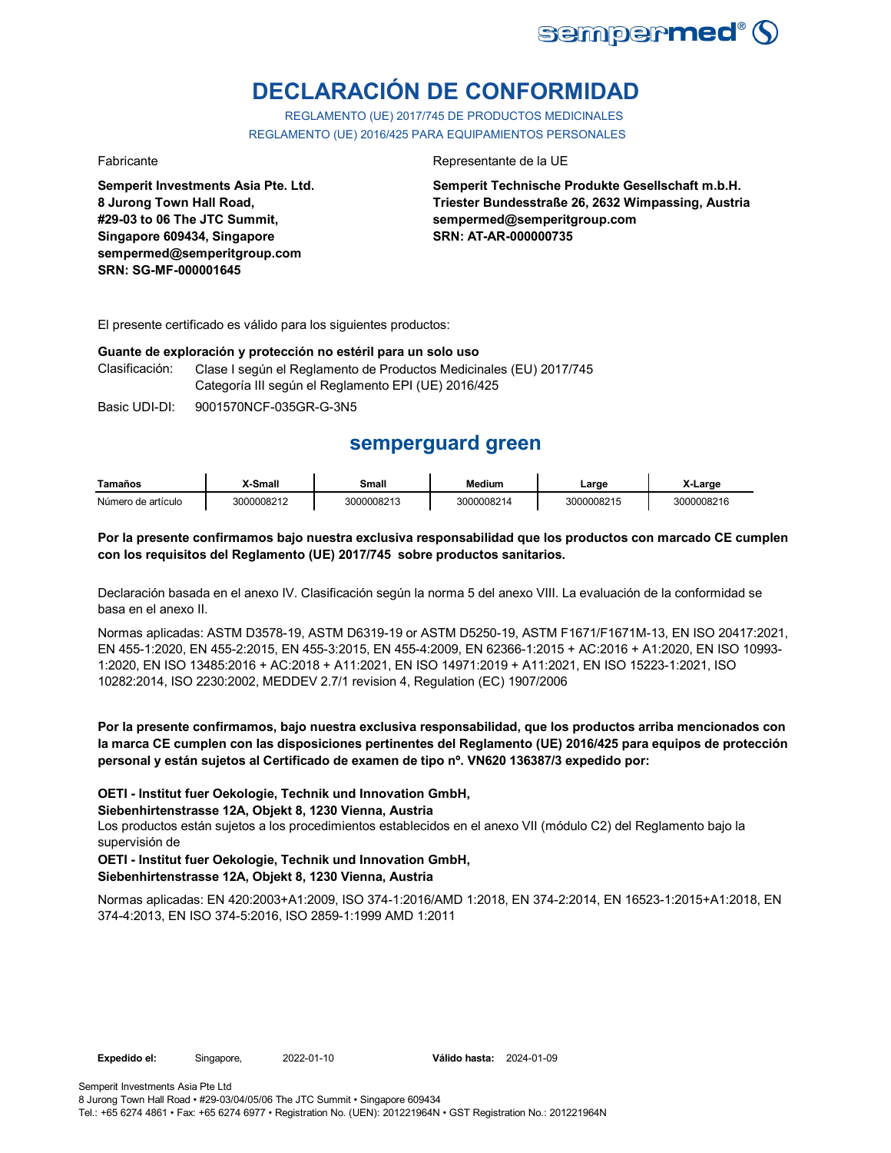

# **DECLARACIÓN DE CONFORMIDAD**

REGLAMENTO (UE) 2017/745 DE PRODUCTOS MEDICINALES REGLAMENTO (UE) 2016/425 PARA EQUIPAMIENTOS PERSONALES

**Semperit Investments Asia Pte. Ltd. 8 Jurong Town Hall Road, #29-03 to 06 The JTC Summit, Singapore 609434, Singapore sempermed@semperitgroup.com SRN: SG-MF-000001645**

#### Fabricante Representante de la UE

**Semperit Technische Produkte Gesellschaft m.b.H. Triester Bundesstraße 26, 2632 Wimpassing, Austria sempermed@semperitgroup.com SRN: AT-AR-000000735**

El presente certificado es válido para los siguientes productos:

#### **Guante de exploración y protección no estéril para un solo uso**

Clasificación: Clase I según el Reglamento de Productos Medicinales (EU) 2017/745 Categoría III según el Reglamento EPI (UE) 2016/425

Basic UDI-DI: 9001570NCF-035GR-G-3N5

## **semperguard green**

| Tamaños            | <sup>v</sup> -Small | Small      | <b>Medium</b> | Large      | X-Large    |
|--------------------|---------------------|------------|---------------|------------|------------|
| Número de artículo | 3000008212          | 3000008213 | 3000008214    | 3000008215 | 3000008216 |

#### **Por la presente confirmamos bajo nuestra exclusiva responsabilidad que los productos con marcado CE cumplen con los requisitos del Reglamento (UE) 2017/745 sobre productos sanitarios.**

Declaración basada en el anexo IV. Clasificación según la norma 5 del anexo VIII. La evaluación de la conformidad se basa en el anexo II.

Normas aplicadas: ASTM D3578-19, ASTM D6319-19 or ASTM D5250-19, ASTM F1671/F1671M-13, EN ISO 20417:2021, EN 455-1:2020, EN 455-2:2015, EN 455-3:2015, EN 455-4:2009, EN 62366-1:2015 + AC:2016 + A1:2020, EN ISO 10993- 1:2020, EN ISO 13485:2016 + AC:2018 + A11:2021, EN ISO 14971:2019 + A11:2021, EN ISO 15223-1:2021, ISO 10282:2014, ISO 2230:2002, MEDDEV 2.7/1 revision 4, Regulation (EC) 1907/2006

### **Por la presente confirmamos, bajo nuestra exclusiva responsabilidad, que los productos arriba mencionados con la marca CE cumplen con las disposiciones pertinentes del Reglamento (UE) 2016/425 para equipos de protección personal y están sujetos al Certificado de examen de tipo nº. VN620 136387/3 expedido por:**

### **OETI - Institut fuer Oekologie, Technik und Innovation GmbH,**

**Siebenhirtenstrasse 12A, Objekt 8, 1230 Vienna, Austria**

Los productos están sujetos a los procedimientos establecidos en el anexo VII (módulo C2) del Reglamento bajo la supervisión de

#### **OETI - Institut fuer Oekologie, Technik und Innovation GmbH, Siebenhirtenstrasse 12A, Objekt 8, 1230 Vienna, Austria**

Normas aplicadas: EN 420:2003+A1:2009, ISO 374-1:2016/AMD 1:2018, EN 374-2:2014, EN 16523-1:2015+A1:2018, EN 374-4:2013, EN ISO 374-5:2016, ISO 2859-1:1999 AMD 1:2011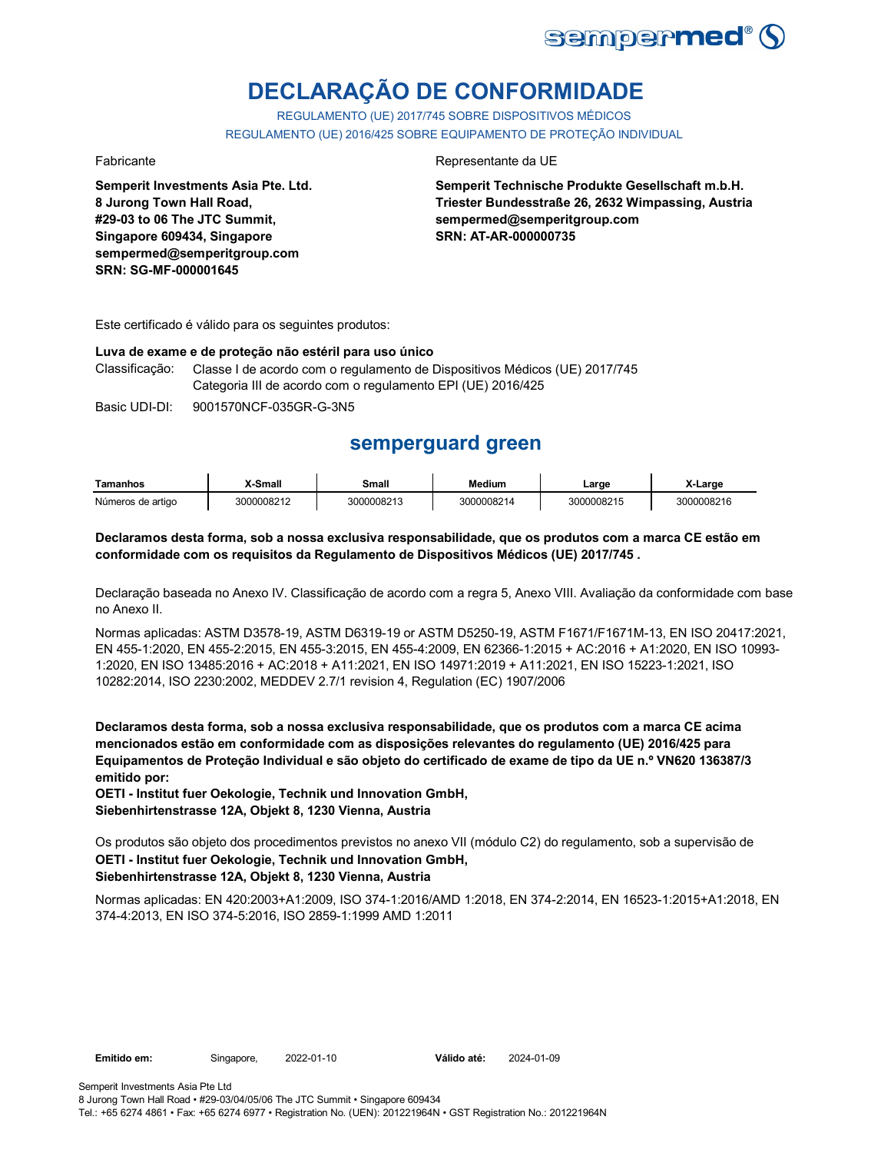

# **DECLARAÇÃO DE CONFORMIDADE**

REGULAMENTO (UE) 2017/745 SOBRE DISPOSITIVOS MÉDICOS REGULAMENTO (UE) 2016/425 SOBRE EQUIPAMENTO DE PROTEÇÃO INDIVIDUAL

**Semperit Investments Asia Pte. Ltd. 8 Jurong Town Hall Road, #29-03 to 06 The JTC Summit, Singapore 609434, Singapore sempermed@semperitgroup.com SRN: SG-MF-000001645**

#### Fabricante da UE

**Semperit Technische Produkte Gesellschaft m.b.H. Triester Bundesstraße 26, 2632 Wimpassing, Austria sempermed@semperitgroup.com SRN: AT-AR-000000735**

Este certificado é válido para os seguintes produtos:

#### **Luva de exame e de proteção não estéril para uso único**

Classificação: Classe I de acordo com o regulamento de Dispositivos Médicos (UE) 2017/745 Categoria III de acordo com o regulamento EPI (UE) 2016/425

Basic UDI-DI: 9001570NCF-035GR-G-3N5

## **semperguard green**

| <b>Tamanhos</b>   | -Small     | Small      | Medium     | ∟arge      | X-Large    |
|-------------------|------------|------------|------------|------------|------------|
| Números de artigo | 3000008212 | 3000008213 | 3000008214 | 3000008215 | 3000008216 |

#### **Declaramos desta forma, sob a nossa exclusiva responsabilidade, que os produtos com a marca CE estão em conformidade com os requisitos da Regulamento de Dispositivos Médicos (UE) 2017/745 .**

Declaração baseada no Anexo IV. Classificação de acordo com a regra 5, Anexo VIII. Avaliação da conformidade com base no Anexo II.

Normas aplicadas: ASTM D3578-19, ASTM D6319-19 or ASTM D5250-19, ASTM F1671/F1671M-13, EN ISO 20417:2021, EN 455-1:2020, EN 455-2:2015, EN 455-3:2015, EN 455-4:2009, EN 62366-1:2015 + AC:2016 + A1:2020, EN ISO 10993- 1:2020, EN ISO 13485:2016 + AC:2018 + A11:2021, EN ISO 14971:2019 + A11:2021, EN ISO 15223-1:2021, ISO 10282:2014, ISO 2230:2002, MEDDEV 2.7/1 revision 4, Regulation (EC) 1907/2006

**Declaramos desta forma, sob a nossa exclusiva responsabilidade, que os produtos com a marca CE acima mencionados estão em conformidade com as disposições relevantes do regulamento (UE) 2016/425 para Equipamentos de Proteção Individual e são objeto do certificado de exame de tipo da UE n.º VN620 136387/3 emitido por:**

**OETI - Institut fuer Oekologie, Technik und Innovation GmbH, Siebenhirtenstrasse 12A, Objekt 8, 1230 Vienna, Austria**

Os produtos são objeto dos procedimentos previstos no anexo VII (módulo C2) do regulamento, sob a supervisão de **OETI - Institut fuer Oekologie, Technik und Innovation GmbH, Siebenhirtenstrasse 12A, Objekt 8, 1230 Vienna, Austria**

Normas aplicadas: EN 420:2003+A1:2009, ISO 374-1:2016/AMD 1:2018, EN 374-2:2014, EN 16523-1:2015+A1:2018, EN 374-4:2013, EN ISO 374-5:2016, ISO 2859-1:1999 AMD 1:2011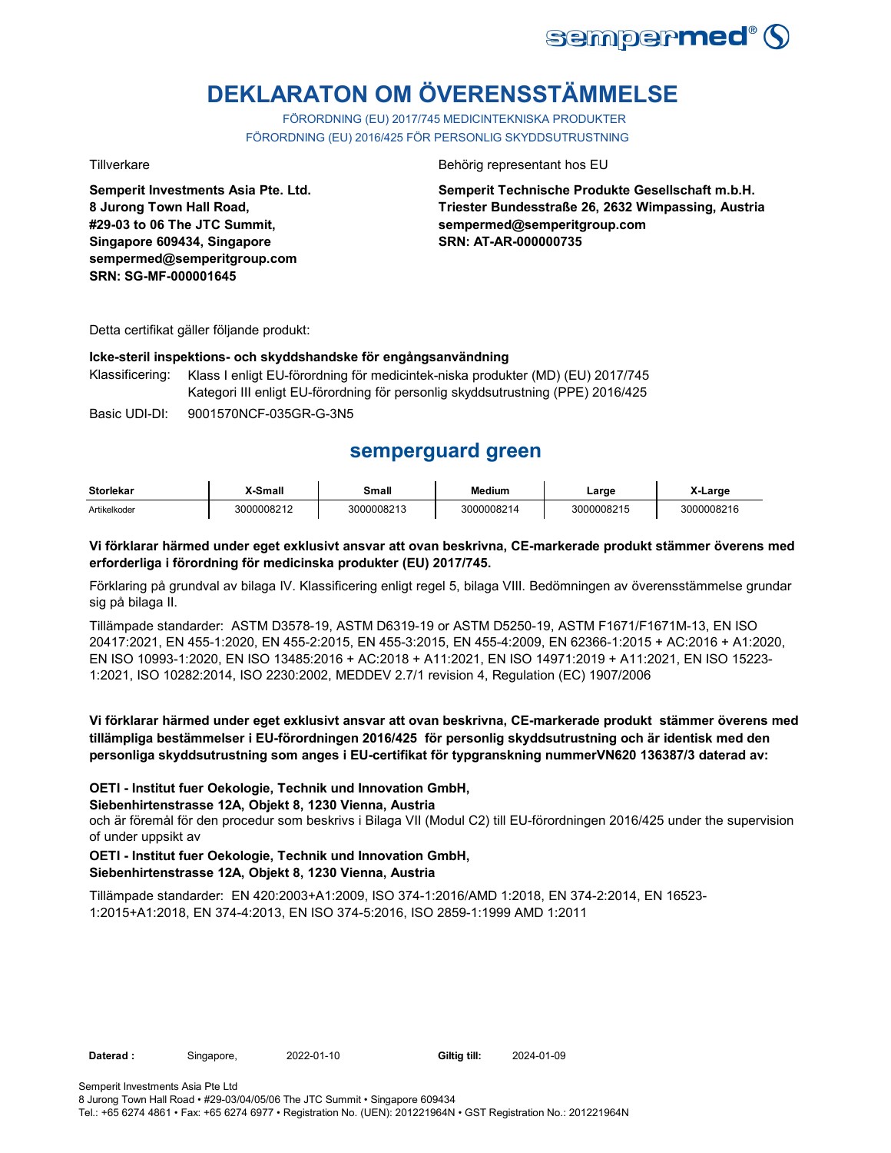

# **DEKLARATON OM ÖVERENSSTÄMMELSE**

FÖRORDNING (EU) 2017/745 MEDICINTEKNISKA PRODUKTER FÖRORDNING (EU) 2016/425 FÖR PERSONLIG SKYDDSUTRUSTNING

**Semperit Investments Asia Pte. Ltd. 8 Jurong Town Hall Road, #29-03 to 06 The JTC Summit, Singapore 609434, Singapore sempermed@semperitgroup.com SRN: SG-MF-000001645**

#### Tillverkare **Behörig representant hos EU**

**Semperit Technische Produkte Gesellschaft m.b.H. Triester Bundesstraße 26, 2632 Wimpassing, Austria sempermed@semperitgroup.com SRN: AT-AR-000000735**

Detta certifikat gäller följande produkt:

#### **Icke-steril inspektions- och skyddshandske för engångsanvändning**

Klassificering: Klass I enligt EU-förordning för medicintek-niska produkter (MD) (EU) 2017/745 Kategori III enligt EU-förordning för personlig skyddsutrustning (PPE) 2016/425

Basic UDI-DI: 9001570NCF-035GR-G-3N5

## **semperguard green**

| <b>Storlekar</b> | -Small     | Small      | <b>Medium</b> | Large<br>___ | ∟arɑe      |
|------------------|------------|------------|---------------|--------------|------------|
| Artikelkoder     | 3000008212 | 3000008213 | 3000008214    | 3000008215   | 3000008216 |

#### **Vi förklarar härmed under eget exklusivt ansvar att ovan beskrivna, CE-markerade produkt stämmer överens med erforderliga i förordning för medicinska produkter (EU) 2017/745.**

Förklaring på grundval av bilaga IV. Klassificering enligt regel 5, bilaga VIII. Bedömningen av överensstämmelse grundar sig på bilaga II.

Tillämpade standarder: ASTM D3578-19, ASTM D6319-19 or ASTM D5250-19, ASTM F1671/F1671M-13, EN ISO 20417:2021, EN 455-1:2020, EN 455-2:2015, EN 455-3:2015, EN 455-4:2009, EN 62366-1:2015 + AC:2016 + A1:2020, EN ISO 10993-1:2020, EN ISO 13485:2016 + AC:2018 + A11:2021, EN ISO 14971:2019 + A11:2021, EN ISO 15223- 1:2021, ISO 10282:2014, ISO 2230:2002, MEDDEV 2.7/1 revision 4, Regulation (EC) 1907/2006

### **Vi förklarar härmed under eget exklusivt ansvar att ovan beskrivna, CE-markerade produkt stämmer överens med tillämpliga bestämmelser i EU-förordningen 2016/425 för personlig skyddsutrustning och är identisk med den personliga skyddsutrustning som anges i EU-certifikat för typgranskning nummerVN620 136387/3 daterad av:**

#### **OETI - Institut fuer Oekologie, Technik und Innovation GmbH,**

#### **Siebenhirtenstrasse 12A, Objekt 8, 1230 Vienna, Austria**

och är föremål för den procedur som beskrivs i Bilaga VII (Modul C2) till EU-förordningen 2016/425 under the supervision of under uppsikt av

#### **OETI - Institut fuer Oekologie, Technik und Innovation GmbH, Siebenhirtenstrasse 12A, Objekt 8, 1230 Vienna, Austria**

Tillämpade standarder: EN 420:2003+A1:2009, ISO 374-1:2016/AMD 1:2018, EN 374-2:2014, EN 16523- 1:2015+A1:2018, EN 374-4:2013, EN ISO 374-5:2016, ISO 2859-1:1999 AMD 1:2011

Daterad : Singapore, 2022-01-10 Giltig till: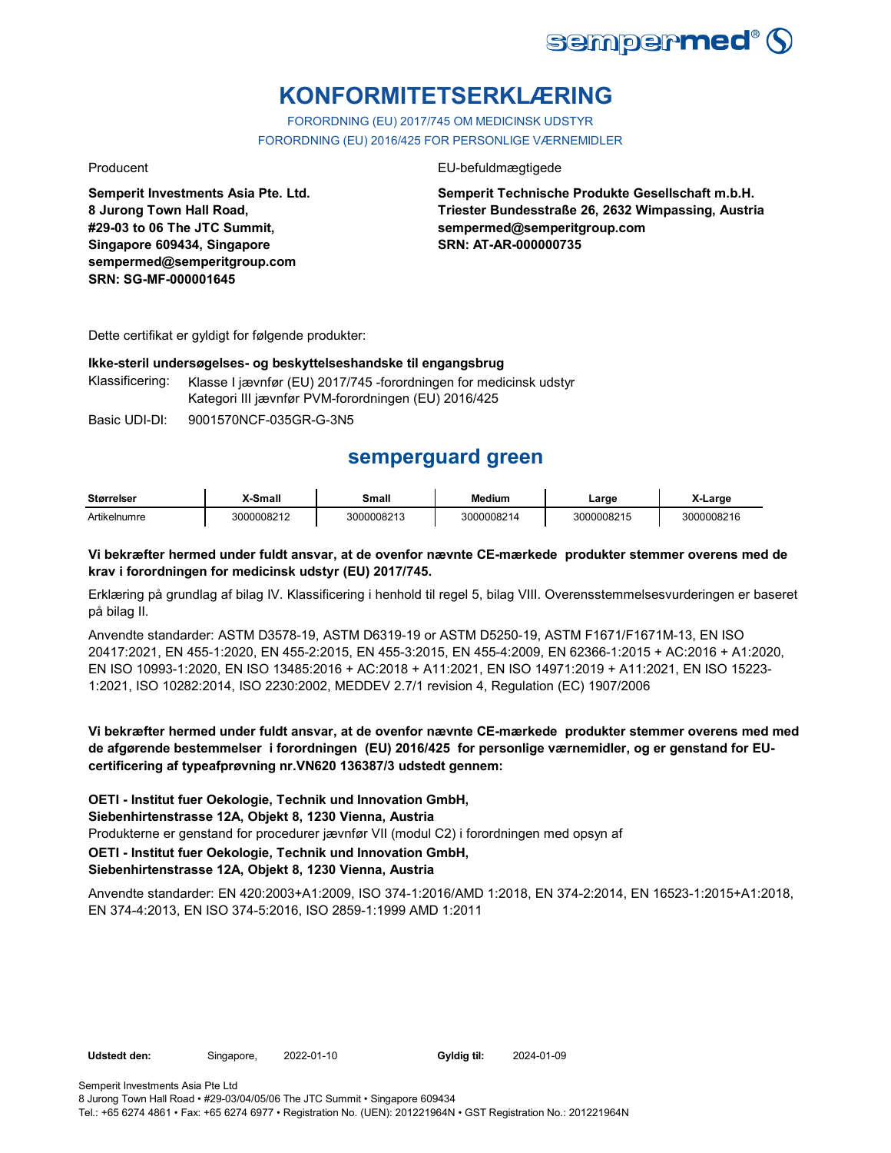

# **KONFORMITETSERKLÆRING**

FORORDNING (EU) 2017/745 OM MEDICINSK UDSTYR FORORDNING (EU) 2016/425 FOR PERSONLIGE VÆRNEMIDLER

**Semperit Investments Asia Pte. Ltd. 8 Jurong Town Hall Road, #29-03 to 06 The JTC Summit, Singapore 609434, Singapore sempermed@semperitgroup.com SRN: SG-MF-000001645**

### Producent **EU-befuldmægtigede**

**Semperit Technische Produkte Gesellschaft m.b.H. Triester Bundesstraße 26, 2632 Wimpassing, Austria sempermed@semperitgroup.com SRN: AT-AR-000000735**

Dette certifikat er gyldigt for følgende produkter:

#### **Ikke-steril undersøgelses- og beskyttelseshandske til engangsbrug**

Klassificering: Klasse I jævnfør (EU) 2017/745 -forordningen for medicinsk udstyr Kategori III jævnfør PVM-forordningen (EU) 2016/425

Basic UDI-DI: 9001570NCF-035GR-G-3N5

## **semperguard green**

| <b>Størrelser</b> | X-Small    | Small      | <b>Medium</b> | Large      | X-Large    |
|-------------------|------------|------------|---------------|------------|------------|
| Artikelnumre      | 3000008212 | 3000008213 | 3000008214    | 3000008215 | 3000008216 |

#### **Vi bekræfter hermed under fuldt ansvar, at de ovenfor nævnte CE-mærkede produkter stemmer overens med de krav i forordningen for medicinsk udstyr (EU) 2017/745.**

Erklæring på grundlag af bilag IV. Klassificering i henhold til regel 5, bilag VIII. Overensstemmelsesvurderingen er baseret på bilag II.

Anvendte standarder: ASTM D3578-19, ASTM D6319-19 or ASTM D5250-19, ASTM F1671/F1671M-13, EN ISO 20417:2021, EN 455-1:2020, EN 455-2:2015, EN 455-3:2015, EN 455-4:2009, EN 62366-1:2015 + AC:2016 + A1:2020, EN ISO 10993-1:2020, EN ISO 13485:2016 + AC:2018 + A11:2021, EN ISO 14971:2019 + A11:2021, EN ISO 15223- 1:2021, ISO 10282:2014, ISO 2230:2002, MEDDEV 2.7/1 revision 4, Regulation (EC) 1907/2006

**Vi bekræfter hermed under fuldt ansvar, at de ovenfor nævnte CE-mærkede produkter stemmer overens med med de afgørende bestemmelser i forordningen (EU) 2016/425 for personlige værnemidler, og er genstand for EUcertificering af typeafprøvning nr.VN620 136387/3 udstedt gennem:**

**OETI - Institut fuer Oekologie, Technik und Innovation GmbH,** 

**Siebenhirtenstrasse 12A, Objekt 8, 1230 Vienna, Austria**

Produkterne er genstand for procedurer jævnfør VII (modul C2) i forordningen med opsyn af

**OETI - Institut fuer Oekologie, Technik und Innovation GmbH,** 

### **Siebenhirtenstrasse 12A, Objekt 8, 1230 Vienna, Austria**

Anvendte standarder: EN 420:2003+A1:2009, ISO 374-1:2016/AMD 1:2018, EN 374-2:2014, EN 16523-1:2015+A1:2018, EN 374-4:2013, EN ISO 374-5:2016, ISO 2859-1:1999 AMD 1:2011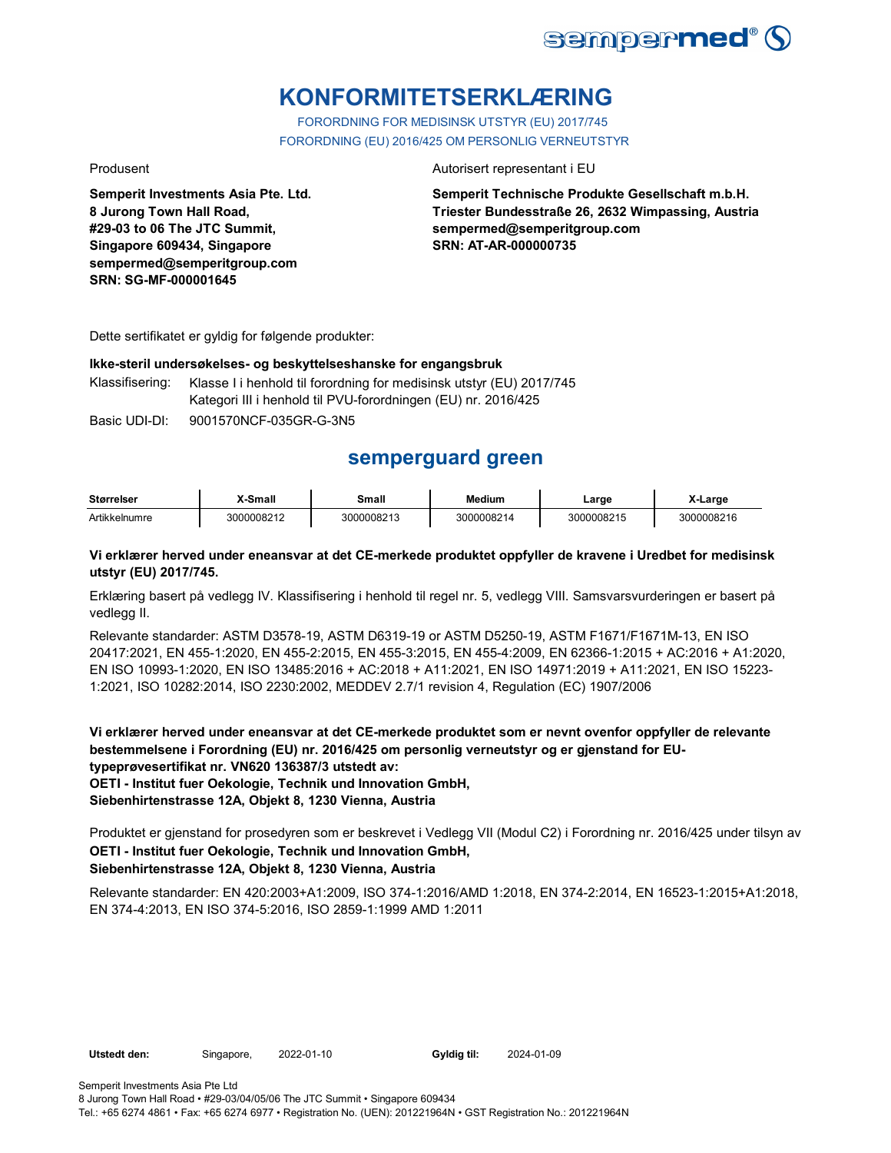

# **KONFORMITETSERKLÆRING**

FORORDNING FOR MEDISINSK UTSTYR (EU) 2017/745 FORORDNING (EU) 2016/425 OM PERSONLIG VERNEUTSTYR

**Semperit Investments Asia Pte. Ltd. 8 Jurong Town Hall Road, #29-03 to 06 The JTC Summit, Singapore 609434, Singapore sempermed@semperitgroup.com SRN: SG-MF-000001645**

#### Produsent **Autorisert representant i EU**

**Semperit Technische Produkte Gesellschaft m.b.H. Triester Bundesstraße 26, 2632 Wimpassing, Austria sempermed@semperitgroup.com SRN: AT-AR-000000735**

Dette sertifikatet er gyldig for følgende produkter:

#### **Ikke-steril undersøkelses- og beskyttelseshanske for engangsbruk**

Klassifisering: Klasse I i henhold til forordning for medisinsk utstyr (EU) 2017/745 Kategori III i henhold til PVU-forordningen (EU) nr. 2016/425

Basic UDI-DI: 9001570NCF-035GR-G-3N5

## **semperguard green**

| <b>Størrelser</b> | X-Small    | Small      | <b>Medium</b> | ∟arge      | X-Large    |
|-------------------|------------|------------|---------------|------------|------------|
| Artikkelnumre     | 3000008212 | 3000008213 | 3000008214    | 3000008215 | 3000008216 |

#### **Vi erklærer herved under eneansvar at det CE-merkede produktet oppfyller de kravene i Uredbet for medisinsk utstyr (EU) 2017/745.**

Erklæring basert på vedlegg IV. Klassifisering i henhold til regel nr. 5, vedlegg VIII. Samsvarsvurderingen er basert på vedlegg II.

Relevante standarder: ASTM D3578-19, ASTM D6319-19 or ASTM D5250-19, ASTM F1671/F1671M-13, EN ISO 20417:2021, EN 455-1:2020, EN 455-2:2015, EN 455-3:2015, EN 455-4:2009, EN 62366-1:2015 + AC:2016 + A1:2020, EN ISO 10993-1:2020, EN ISO 13485:2016 + AC:2018 + A11:2021, EN ISO 14971:2019 + A11:2021, EN ISO 15223- 1:2021, ISO 10282:2014, ISO 2230:2002, MEDDEV 2.7/1 revision 4, Regulation (EC) 1907/2006

**Vi erklærer herved under eneansvar at det CE-merkede produktet som er nevnt ovenfor oppfyller de relevante bestemmelsene i Forordning (EU) nr. 2016/425 om personlig verneutstyr og er gjenstand for EUtypeprøvesertifikat nr. VN620 136387/3 utstedt av: OETI - Institut fuer Oekologie, Technik und Innovation GmbH, Siebenhirtenstrasse 12A, Objekt 8, 1230 Vienna, Austria**

Produktet er gjenstand for prosedyren som er beskrevet i Vedlegg VII (Modul C2) i Forordning nr. 2016/425 under tilsyn av **OETI - Institut fuer Oekologie, Technik und Innovation GmbH, Siebenhirtenstrasse 12A, Objekt 8, 1230 Vienna, Austria**

Relevante standarder: EN 420:2003+A1:2009, ISO 374-1:2016/AMD 1:2018, EN 374-2:2014, EN 16523-1:2015+A1:2018, EN 374-4:2013, EN ISO 374-5:2016, ISO 2859-1:1999 AMD 1:2011

**Utstedt den:** Singapore, 2022-01-10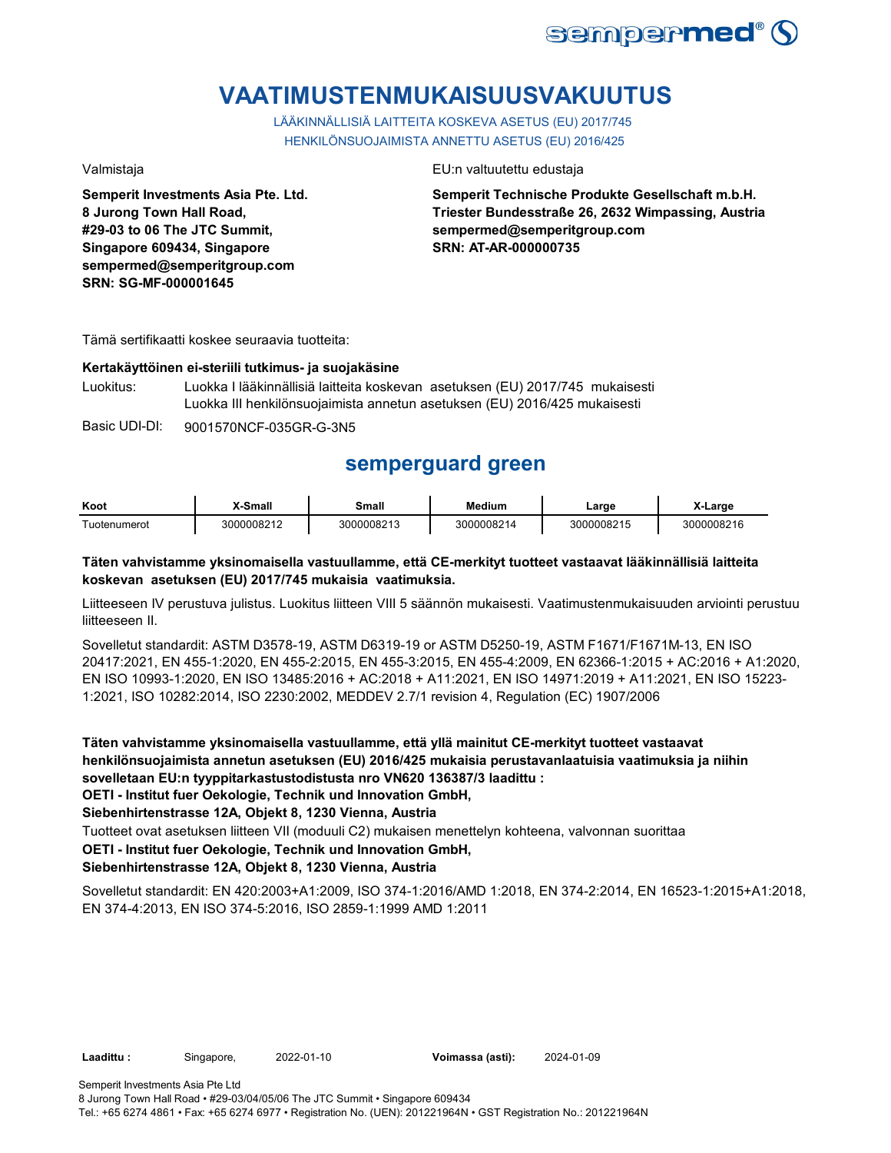

# **VAATIMUSTENMUKAISUUSVAKUUTUS**

LÄÄKINNÄLLISIÄ LAITTEITA KOSKEVA ASETUS (EU) 2017/745 HENKILÖNSUOJAIMISTA ANNETTU ASETUS (EU) 2016/425

**Semperit Investments Asia Pte. Ltd. 8 Jurong Town Hall Road, #29-03 to 06 The JTC Summit, Singapore 609434, Singapore sempermed@semperitgroup.com SRN: SG-MF-000001645**

Valmistaja EU:n valtuutettu edustaja

**Semperit Technische Produkte Gesellschaft m.b.H. Triester Bundesstraße 26, 2632 Wimpassing, Austria sempermed@semperitgroup.com SRN: AT-AR-000000735**

Tämä sertifikaatti koskee seuraavia tuotteita:

#### **Kertakäyttöinen ei-steriili tutkimus- ja suojakäsine**

Luokitus: Luokka I lääkinnällisiä laitteita koskevan asetuksen (EU) 2017/745 mukaisesti Luokka III henkilönsuojaimista annetun asetuksen (EU) 2016/425 mukaisesti

Basic UDI-DI: 9001570NCF-035GR-G-3N5

# **semperguard green**

| Koot         | X-Small         | <b>3mall</b> | Medium           | ∟arɑe      | .arge           |
|--------------|-----------------|--------------|------------------|------------|-----------------|
| Tuotenumerot | 10008212<br>וחר | 3000008213   | <b>000008214</b> | 3000008215 | 00008216<br>ว∩เ |

### **Täten vahvistamme yksinomaisella vastuullamme, että CE-merkityt tuotteet vastaavat lääkinnällisiä laitteita koskevan asetuksen (EU) 2017/745 mukaisia vaatimuksia.**

Liitteeseen IV perustuva julistus. Luokitus liitteen VIII 5 säännön mukaisesti. Vaatimustenmukaisuuden arviointi perustuu liitteeseen II.

Sovelletut standardit: ASTM D3578-19, ASTM D6319-19 or ASTM D5250-19, ASTM F1671/F1671M-13, EN ISO 20417:2021, EN 455-1:2020, EN 455-2:2015, EN 455-3:2015, EN 455-4:2009, EN 62366-1:2015 + AC:2016 + A1:2020, EN ISO 10993-1:2020, EN ISO 13485:2016 + AC:2018 + A11:2021, EN ISO 14971:2019 + A11:2021, EN ISO 15223- 1:2021, ISO 10282:2014, ISO 2230:2002, MEDDEV 2.7/1 revision 4, Regulation (EC) 1907/2006

**Täten vahvistamme yksinomaisella vastuullamme, että yllä mainitut CE-merkityt tuotteet vastaavat henkilönsuojaimista annetun asetuksen (EU) 2016/425 mukaisia perustavanlaatuisia vaatimuksia ja niihin sovelletaan EU:n tyyppitarkastustodistusta nro VN620 136387/3 laadittu :**

**OETI - Institut fuer Oekologie, Technik und Innovation GmbH,** 

**Siebenhirtenstrasse 12A, Objekt 8, 1230 Vienna, Austria**

Tuotteet ovat asetuksen liitteen VII (moduuli C2) mukaisen menettelyn kohteena, valvonnan suorittaa

**OETI - Institut fuer Oekologie, Technik und Innovation GmbH,** 

#### **Siebenhirtenstrasse 12A, Objekt 8, 1230 Vienna, Austria**

Sovelletut standardit: EN 420:2003+A1:2009, ISO 374-1:2016/AMD 1:2018, EN 374-2:2014, EN 16523-1:2015+A1:2018, EN 374-4:2013, EN ISO 374-5:2016, ISO 2859-1:1999 AMD 1:2011

**Laadittu :** Singapore, **Voimassa (asti):** 2022-01-10 2024-01-09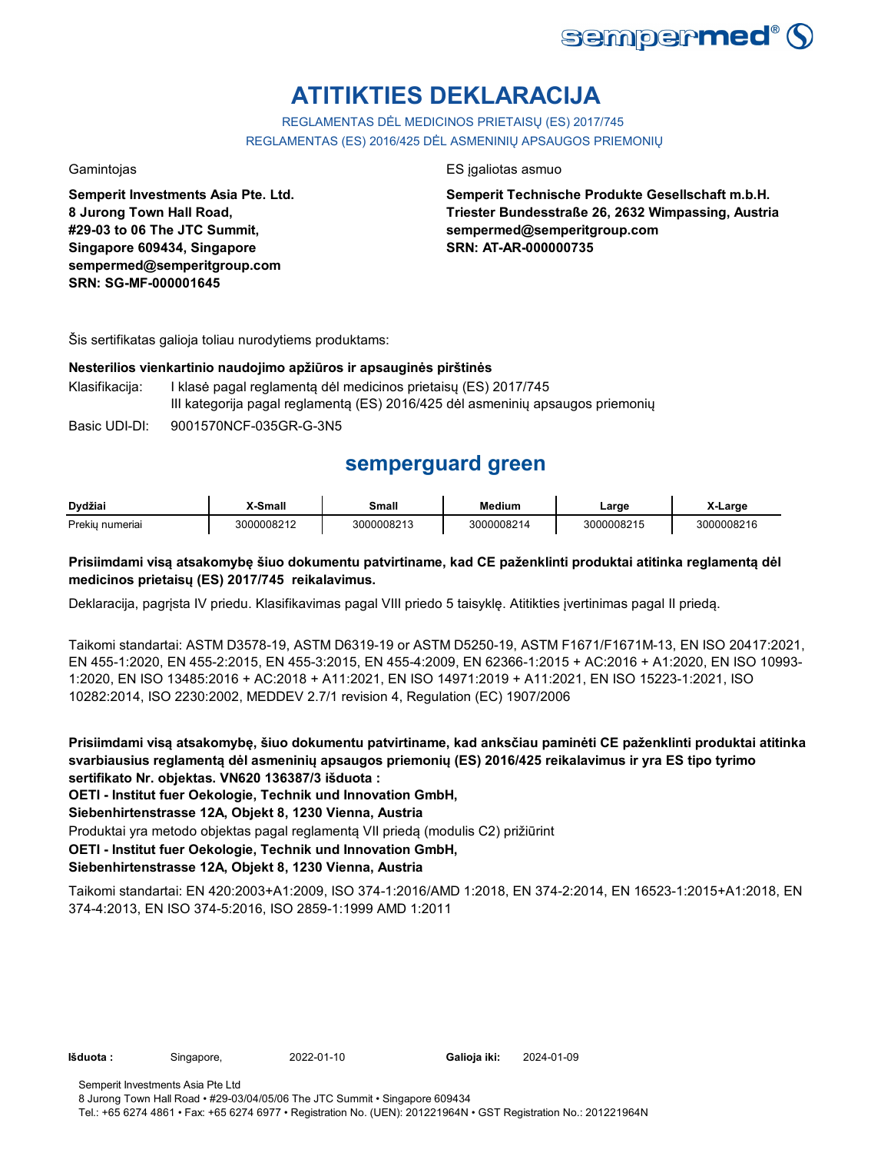

# **ATITIKTIES DEKLARACIJA**

REGLAMENTAS DĖL MEDICINOS PRIETAISŲ (ES) 2017/745 REGLAMENTAS (ES) 2016/425 DĖL ASMENINIŲ APSAUGOS PRIEMONIŲ

**Semperit Investments Asia Pte. Ltd. 8 Jurong Town Hall Road, #29-03 to 06 The JTC Summit, Singapore 609434, Singapore sempermed@semperitgroup.com SRN: SG-MF-000001645**

#### Gamintojas **ES interviewes ES interviewes** ES interviewes as estas estas estas estas estas estas estas estas estas estas estas estas estas estas estas estas estas estas estas estas estas estas estas estas estas estas estas

**Semperit Technische Produkte Gesellschaft m.b.H. Triester Bundesstraße 26, 2632 Wimpassing, Austria sempermed@semperitgroup.com SRN: AT-AR-000000735**

Šis sertifikatas galioja toliau nurodytiems produktams:

#### **Nesterilios vienkartinio naudojimo apžiūros ir apsauginės pirštinės**

Klasifikacija: I klasė pagal reglamentą dėl medicinos prietaisų (ES) 2017/745 III kategorija pagal reglamentą (ES) 2016/425 dėl asmeninių apsaugos priemonių

Basic UDI-DI: 9001570NCF-035GR-G-3N5

# **semperguard green**

| Dvdžiai            | <sup>v</sup> -Small | Small<br>_____ | <b>Medium</b>         | _arge      | Large      |
|--------------------|---------------------|----------------|-----------------------|------------|------------|
| Prekiu<br>numeriai | 3000008212          | 3000008213     | <b>0008214</b><br>ว∩r | 3000008215 | 3000008216 |

### **Prisiimdami visą atsakomybę šiuo dokumentu patvirtiname, kad CE paženklinti produktai atitinka reglamentą dėl medicinos prietaisų (ES) 2017/745 reikalavimus.**

Deklaracija, pagrįsta IV priedu. Klasifikavimas pagal VIII priedo 5 taisyklę. Atitikties įvertinimas pagal II priedą.

Taikomi standartai: ASTM D3578-19, ASTM D6319-19 or ASTM D5250-19, ASTM F1671/F1671M-13, EN ISO 20417:2021, EN 455-1:2020, EN 455-2:2015, EN 455-3:2015, EN 455-4:2009, EN 62366-1:2015 + AC:2016 + A1:2020, EN ISO 10993- 1:2020, EN ISO 13485:2016 + AC:2018 + A11:2021, EN ISO 14971:2019 + A11:2021, EN ISO 15223-1:2021, ISO 10282:2014, ISO 2230:2002, MEDDEV 2.7/1 revision 4, Regulation (EC) 1907/2006

**Prisiimdami visą atsakomybę, šiuo dokumentu patvirtiname, kad anksčiau paminėti CE paženklinti produktai atitinka svarbiausius reglamentą dėl asmeninių apsaugos priemonių (ES) 2016/425 reikalavimus ir yra ES tipo tyrimo sertifikato Nr. objektas. VN620 136387/3 išduota :**

**OETI - Institut fuer Oekologie, Technik und Innovation GmbH,** 

**Siebenhirtenstrasse 12A, Objekt 8, 1230 Vienna, Austria**

Produktai yra metodo objektas pagal reglamentą VII priedą (modulis C2) prižiūrint

**OETI - Institut fuer Oekologie, Technik und Innovation GmbH,** 

#### **Siebenhirtenstrasse 12A, Objekt 8, 1230 Vienna, Austria**

Taikomi standartai: EN 420:2003+A1:2009, ISO 374-1:2016/AMD 1:2018, EN 374-2:2014, EN 16523-1:2015+A1:2018, EN 374-4:2013, EN ISO 374-5:2016, ISO 2859-1:1999 AMD 1:2011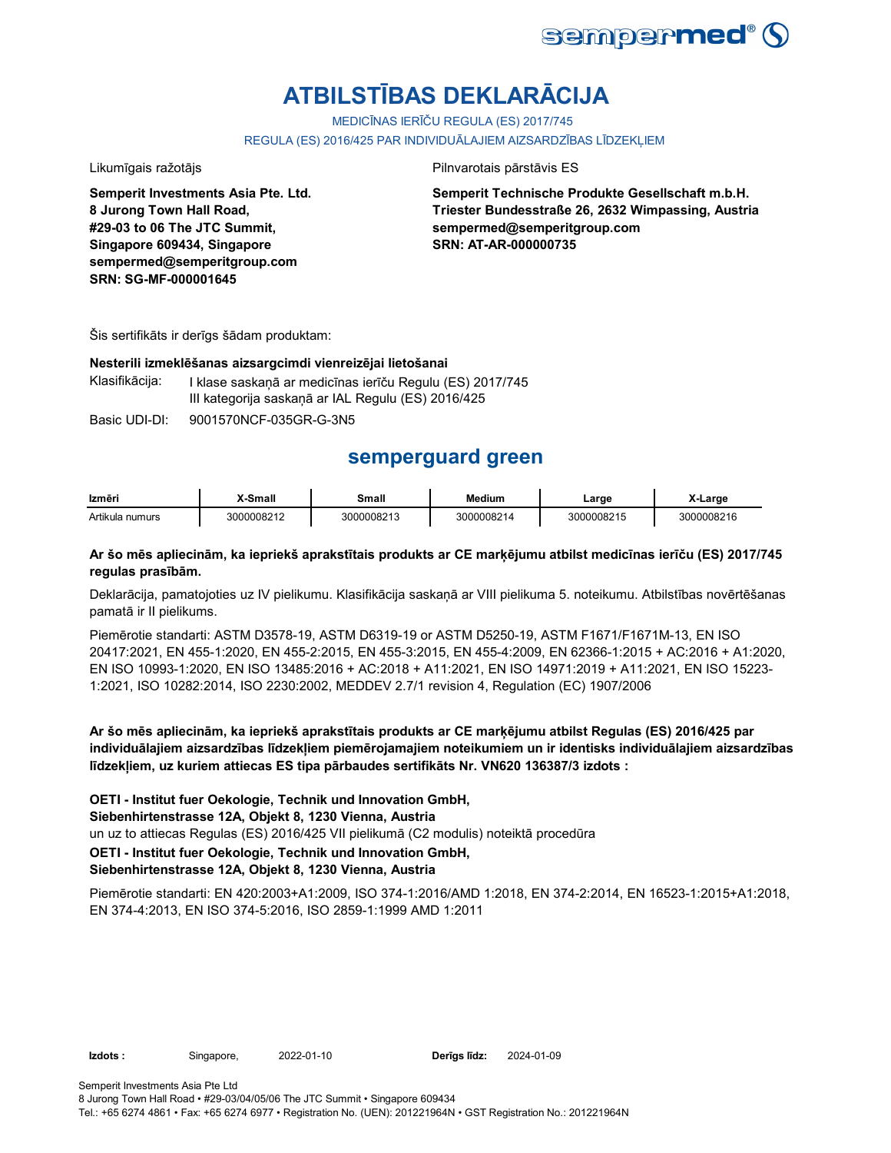

# **ATBILSTĪBAS DEKLARĀCIJA**

MEDICĪNAS IERĪČU REGULA (ES) 2017/745

REGULA (ES) 2016/425 PAR INDIVIDUĀLAJIEM AIZSARDZĪBAS LĪDZEKĻIEM

**Semperit Investments Asia Pte. Ltd. 8 Jurong Town Hall Road, #29-03 to 06 The JTC Summit, Singapore 609434, Singapore sempermed@semperitgroup.com SRN: SG-MF-000001645**

Likumīgais ražotājs **Pilnvarotais pārstāvis ES** 

**Semperit Technische Produkte Gesellschaft m.b.H. Triester Bundesstraße 26, 2632 Wimpassing, Austria sempermed@semperitgroup.com SRN: AT-AR-000000735**

Šis sertifikāts ir derīgs šādam produktam:

#### **Nesterili izmeklēšanas aizsargcimdi vienreizējai lietošanai**

Klasifikācija: I klase saskaņā ar medicīnas ierīču Regulu (ES) 2017/745 III kategorija saskaņā ar IAL Regulu (ES) 2016/425

Basic UDI-DI: 9001570NCF-035GR-G-3N5

## **semperguard green**

| Izmēri          | <b>X-Small</b> | Small      | <b>Medium</b> | Large      | X-Large    |
|-----------------|----------------|------------|---------------|------------|------------|
| Artikula numurs | 3000008212     | 3000008213 | 3000008214    | 3000008215 | 3000008216 |

#### **Ar šo mēs apliecinām, ka iepriekš aprakstītais produkts ar CE marķējumu atbilst medicīnas ierīču (ES) 2017/745 regulas prasībām.**

Deklarācija, pamatojoties uz IV pielikumu. Klasifikācija saskaņā ar VIII pielikuma 5. noteikumu. Atbilstības novērtēšanas pamatā ir II pielikums.

Piemērotie standarti: ASTM D3578-19, ASTM D6319-19 or ASTM D5250-19, ASTM F1671/F1671M-13, EN ISO 20417:2021, EN 455-1:2020, EN 455-2:2015, EN 455-3:2015, EN 455-4:2009, EN 62366-1:2015 + AC:2016 + A1:2020, EN ISO 10993-1:2020, EN ISO 13485:2016 + AC:2018 + A11:2021, EN ISO 14971:2019 + A11:2021, EN ISO 15223- 1:2021, ISO 10282:2014, ISO 2230:2002, MEDDEV 2.7/1 revision 4, Regulation (EC) 1907/2006

**Ar šo mēs apliecinām, ka iepriekš aprakstītais produkts ar CE marķējumu atbilst Regulas (ES) 2016/425 par individuālajiem aizsardzības līdzekļiem piemērojamajiem noteikumiem un ir identisks individuālajiem aizsardzības līdzekļiem, uz kuriem attiecas ES tipa pārbaudes sertifikāts Nr. VN620 136387/3 izdots :**

**OETI - Institut fuer Oekologie, Technik und Innovation GmbH,** 

**Siebenhirtenstrasse 12A, Objekt 8, 1230 Vienna, Austria**

un uz to attiecas Regulas (ES) 2016/425 VII pielikumā (C2 modulis) noteiktā procedūra

**OETI - Institut fuer Oekologie, Technik und Innovation GmbH,** 

### **Siebenhirtenstrasse 12A, Objekt 8, 1230 Vienna, Austria**

Piemērotie standarti: EN 420:2003+A1:2009, ISO 374-1:2016/AMD 1:2018, EN 374-2:2014, EN 16523-1:2015+A1:2018, EN 374-4:2013, EN ISO 374-5:2016, ISO 2859-1:1999 AMD 1:2011

**Izdots :** Singapore, 2022-01-10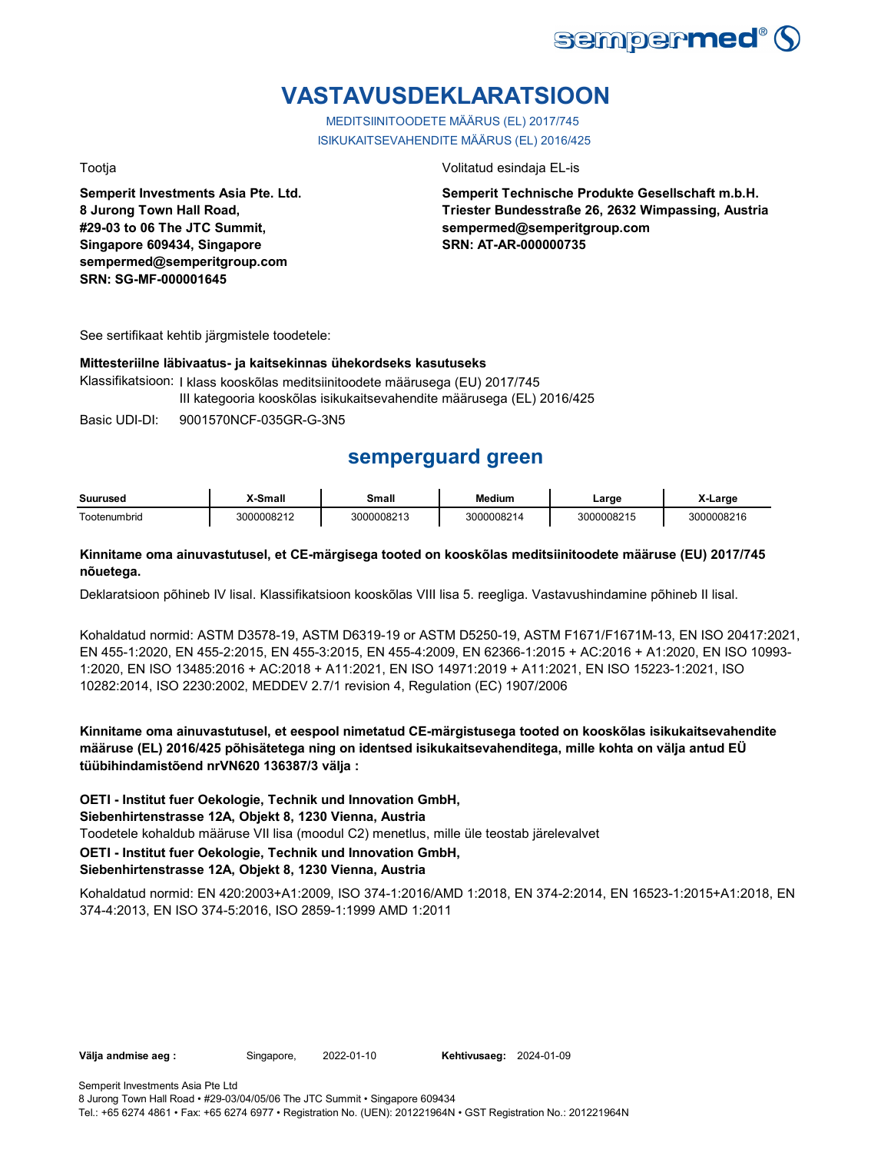

# **VASTAVUSDEKLARATSIOON**

MEDITSIINITOODETE MÄÄRUS (EL) 2017/745 ISIKUKAITSEVAHENDITE MÄÄRUS (EL) 2016/425

**Semperit Investments Asia Pte. Ltd. 8 Jurong Town Hall Road, #29-03 to 06 The JTC Summit, Singapore 609434, Singapore sempermed@semperitgroup.com SRN: SG-MF-000001645**

#### Tootja Volitatud esindaja EL-is

**Semperit Technische Produkte Gesellschaft m.b.H. Triester Bundesstraße 26, 2632 Wimpassing, Austria sempermed@semperitgroup.com SRN: AT-AR-000000735**

See sertifikaat kehtib järgmistele toodetele:

#### **Mittesteriilne läbivaatus- ja kaitsekinnas ühekordseks kasutuseks**

Klassifikatsioon: I klass kooskõlas meditsiinitoodete määrusega (EU) 2017/745 III kategooria kooskõlas isikukaitsevahendite määrusega (EL) 2016/425

Basic UDI-DI: 9001570NCF-035GR-G-3N5

## **semperguard green**

| Suurused     | -Small   | Small      | Medium       | _arɑe      | Large |
|--------------|----------|------------|--------------|------------|-------|
| Tootenumbrid | M0008211 | 3000008212 | <b>ANOOO</b> | 3000008215 | 08216 |

#### **Kinnitame oma ainuvastutusel, et CE-märgisega tooted on kooskõlas meditsiinitoodete määruse (EU) 2017/745 nõuetega.**

Deklaratsioon põhineb IV lisal. Klassifikatsioon kooskõlas VIII lisa 5. reegliga. Vastavushindamine põhineb II lisal.

Kohaldatud normid: ASTM D3578-19, ASTM D6319-19 or ASTM D5250-19, ASTM F1671/F1671M-13, EN ISO 20417:2021, EN 455-1:2020, EN 455-2:2015, EN 455-3:2015, EN 455-4:2009, EN 62366-1:2015 + AC:2016 + A1:2020, EN ISO 10993- 1:2020, EN ISO 13485:2016 + AC:2018 + A11:2021, EN ISO 14971:2019 + A11:2021, EN ISO 15223-1:2021, ISO 10282:2014, ISO 2230:2002, MEDDEV 2.7/1 revision 4, Regulation (EC) 1907/2006

**Kinnitame oma ainuvastutusel, et eespool nimetatud CE-märgistusega tooted on kooskõlas isikukaitsevahendite määruse (EL) 2016/425 põhisätetega ning on identsed isikukaitsevahenditega, mille kohta on välja antud EÜ tüübihindamistõend nrVN620 136387/3 välja :**

**OETI - Institut fuer Oekologie, Technik und Innovation GmbH,** 

**Siebenhirtenstrasse 12A, Objekt 8, 1230 Vienna, Austria**

Toodetele kohaldub määruse VII lisa (moodul C2) menetlus, mille üle teostab järelevalvet

**OETI - Institut fuer Oekologie, Technik und Innovation GmbH,** 

### **Siebenhirtenstrasse 12A, Objekt 8, 1230 Vienna, Austria**

Kohaldatud normid: EN 420:2003+A1:2009, ISO 374-1:2016/AMD 1:2018, EN 374-2:2014, EN 16523-1:2015+A1:2018, EN 374-4:2013, EN ISO 374-5:2016, ISO 2859-1:1999 AMD 1:2011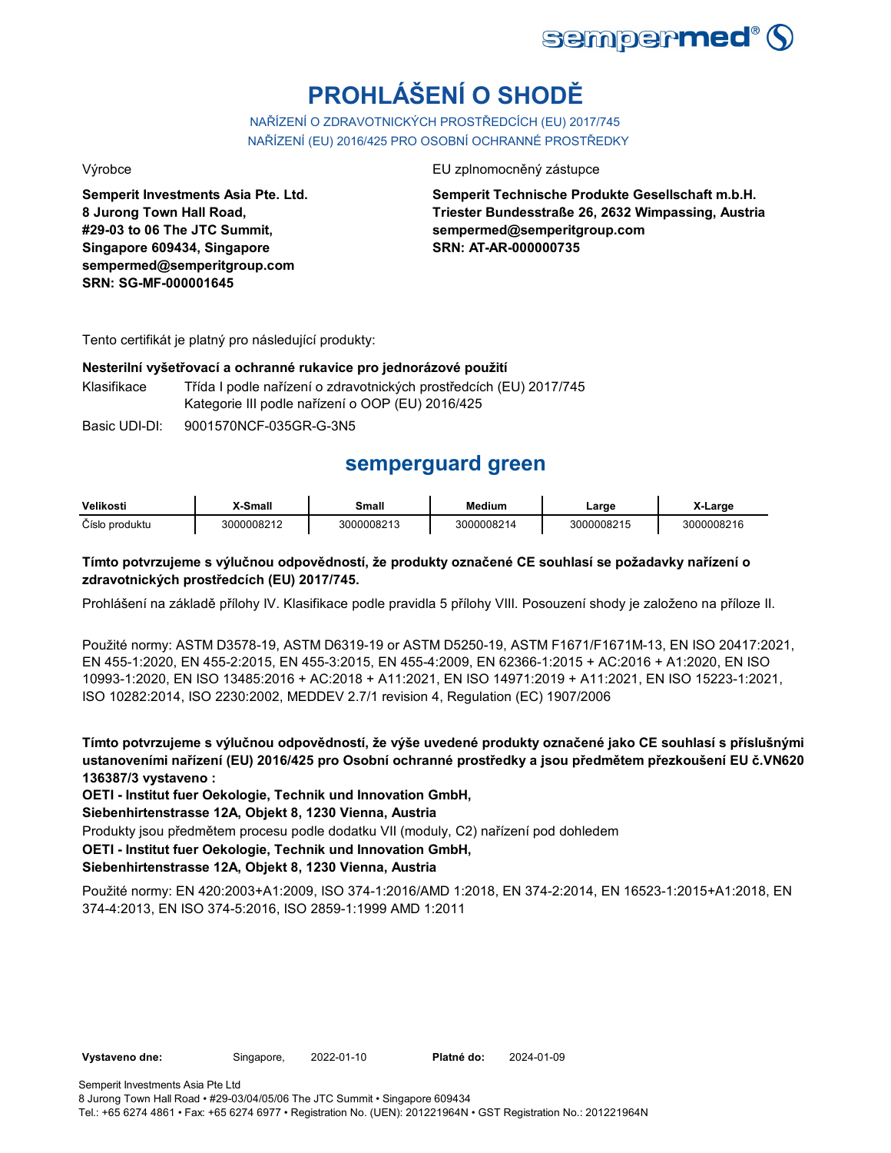

# **PROHLÁŠENÍ O SHODĚ**

NAŘÍZENÍ O ZDRAVOTNICKÝCH PROSTŘEDCÍCH (EU) 2017/745 NAŘÍZENÍ (EU) 2016/425 PRO OSOBNÍ OCHRANNÉ PROSTŘEDKY

**Semperit Investments Asia Pte. Ltd. 8 Jurong Town Hall Road, #29-03 to 06 The JTC Summit, Singapore 609434, Singapore sempermed@semperitgroup.com SRN: SG-MF-000001645**

#### Výrobce EU zplnomocněný zástupce EU zplnomocněný zástupce

**Semperit Technische Produkte Gesellschaft m.b.H. Triester Bundesstraße 26, 2632 Wimpassing, Austria sempermed@semperitgroup.com SRN: AT-AR-000000735**

Tento certifikát je platný pro následující produkty:

#### **Nesterilní vyšetřovací a ochranné rukavice pro jednorázové použití**

Klasifikace Třída I podle nařízení o zdravotnických prostředcích (EU) 2017/745 Kategorie III podle nařízení o OOP (EU) 2016/425

Basic UDI-DI: 9001570NCF-035GR-G-3N5

# **semperguard green**

| Velikosti      | X-Small    | Small      | Medium                | ∟arge      | -Larɑɾ     |
|----------------|------------|------------|-----------------------|------------|------------|
| Číslo produktu | 3000008212 | 3000008213 | <sup>?000008214</sup> | 3000008215 | 3000008216 |

### **Tímto potvrzujeme s výlučnou odpovědností, že produkty označené CE souhlasí se požadavky nařízení o zdravotnických prostředcích (EU) 2017/745.**

Prohlášení na základě přílohy IV. Klasifikace podle pravidla 5 přílohy VIII. Posouzení shody je založeno na příloze II.

Použité normy: ASTM D3578-19, ASTM D6319-19 or ASTM D5250-19, ASTM F1671/F1671M-13, EN ISO 20417:2021, EN 455-1:2020, EN 455-2:2015, EN 455-3:2015, EN 455-4:2009, EN 62366-1:2015 + AC:2016 + A1:2020, EN ISO 10993-1:2020, EN ISO 13485:2016 + AC:2018 + A11:2021, EN ISO 14971:2019 + A11:2021, EN ISO 15223-1:2021, ISO 10282:2014, ISO 2230:2002, MEDDEV 2.7/1 revision 4, Regulation (EC) 1907/2006

**Tímto potvrzujeme s výlučnou odpovědností, že výše uvedené produkty označené jako CE souhlasí s příslušnými ustanoveními nařízení (EU) 2016/425 pro Osobní ochranné prostředky a jsou předmětem přezkoušení EU č.VN620 136387/3 vystaveno :**

**OETI - Institut fuer Oekologie, Technik und Innovation GmbH,** 

**Siebenhirtenstrasse 12A, Objekt 8, 1230 Vienna, Austria**

Produkty jsou předmětem procesu podle dodatku VII (moduly, C2) nařízení pod dohledem

**OETI - Institut fuer Oekologie, Technik und Innovation GmbH,** 

#### **Siebenhirtenstrasse 12A, Objekt 8, 1230 Vienna, Austria**

Použité normy: EN 420:2003+A1:2009, ISO 374-1:2016/AMD 1:2018, EN 374-2:2014, EN 16523-1:2015+A1:2018, EN 374-4:2013, EN ISO 374-5:2016, ISO 2859-1:1999 AMD 1:2011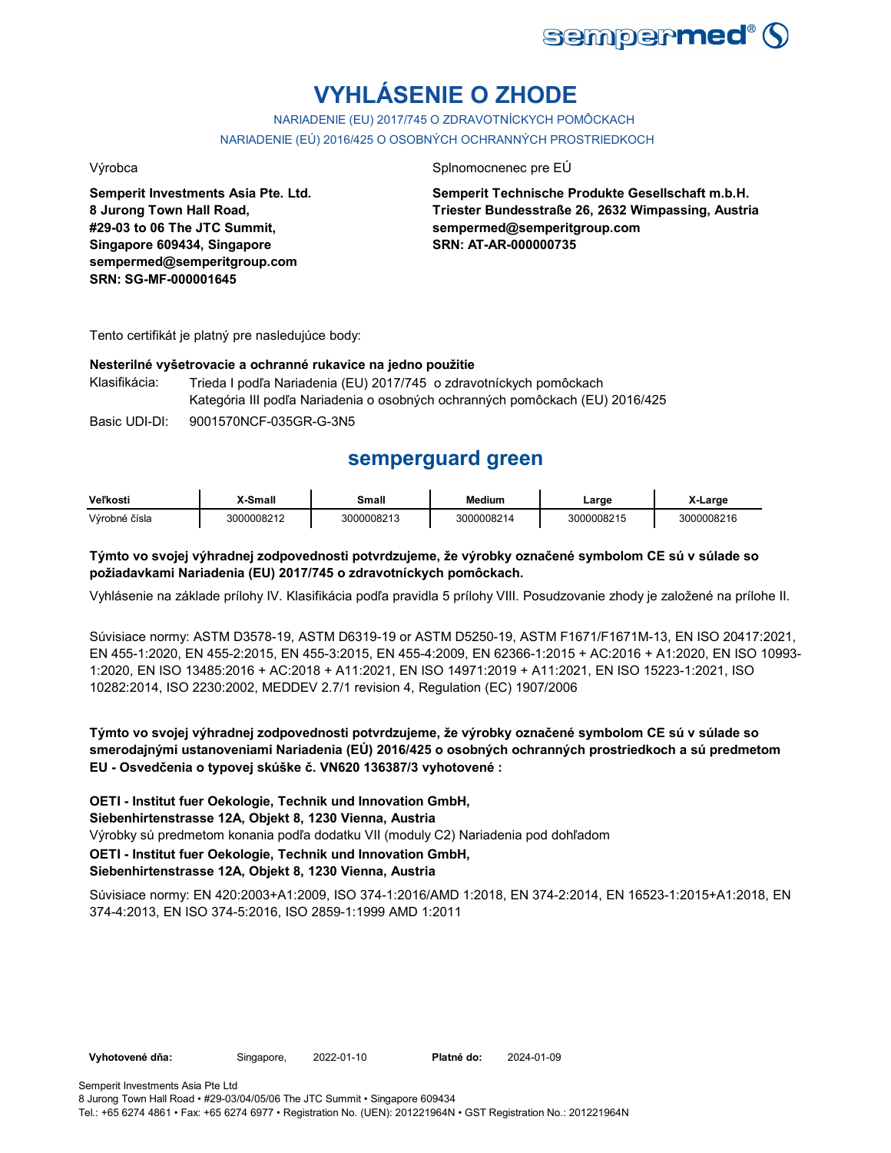

# **VYHLÁSENIE O ZHODE**

NARIADENIE (EU) 2017/745 O ZDRAVOTNÍCKYCH POMÔCKACH NARIADENIE (EÚ) 2016/425 O OSOBNÝCH OCHRANNÝCH PROSTRIEDKOCH

**Semperit Investments Asia Pte. Ltd. 8 Jurong Town Hall Road, #29-03 to 06 The JTC Summit, Singapore 609434, Singapore sempermed@semperitgroup.com SRN: SG-MF-000001645**

#### Výrobca Splnomocnenec pre EÚ

**Semperit Technische Produkte Gesellschaft m.b.H. Triester Bundesstraße 26, 2632 Wimpassing, Austria sempermed@semperitgroup.com SRN: AT-AR-000000735**

Tento certifikát je platný pre nasledujúce body:

#### **Nesterilné vyšetrovacie a ochranné rukavice na jedno použitie**

Klasifikácia: Trieda I podľa Nariadenia (EU) 2017/745 o zdravotníckych pomôckach Kategória III podľa Nariadenia o osobných ochranných pomôckach (EU) 2016/425

Basic UDI-DI: 9001570NCF-035GR-G-3N5

## **semperguard green**

| Veľkosti      | X-Small    | Small      | <b>Medium</b> | ∟arge      | X-Large    |
|---------------|------------|------------|---------------|------------|------------|
| Výrobné čísla | 3000008212 | 3000008213 | 3000008214    | 3000008215 | 3000008216 |

### **Týmto vo svojej výhradnej zodpovednosti potvrdzujeme, že výrobky označené symbolom CE sú v súlade so požiadavkami Nariadenia (EU) 2017/745 o zdravotníckych pomôckach.**

Vyhlásenie na základe prílohy IV. Klasifikácia podľa pravidla 5 prílohy VIII. Posudzovanie zhody je založené na prílohe II.

Súvisiace normy: ASTM D3578-19, ASTM D6319-19 or ASTM D5250-19, ASTM F1671/F1671M-13, EN ISO 20417:2021, EN 455-1:2020, EN 455-2:2015, EN 455-3:2015, EN 455-4:2009, EN 62366-1:2015 + AC:2016 + A1:2020, EN ISO 10993- 1:2020, EN ISO 13485:2016 + AC:2018 + A11:2021, EN ISO 14971:2019 + A11:2021, EN ISO 15223-1:2021, ISO 10282:2014, ISO 2230:2002, MEDDEV 2.7/1 revision 4, Regulation (EC) 1907/2006

**Týmto vo svojej výhradnej zodpovednosti potvrdzujeme, že výrobky označené symbolom CE sú v súlade so smerodajnými ustanoveniami Nariadenia (EÚ) 2016/425 o osobných ochranných prostriedkoch a sú predmetom EU - Osvedčenia o typovej skúške č. VN620 136387/3 vyhotovené :**

**OETI - Institut fuer Oekologie, Technik und Innovation GmbH,** 

**Siebenhirtenstrasse 12A, Objekt 8, 1230 Vienna, Austria**

Výrobky sú predmetom konania podľa dodatku VII (moduly C2) Nariadenia pod dohľadom

**OETI - Institut fuer Oekologie, Technik und Innovation GmbH,** 

#### **Siebenhirtenstrasse 12A, Objekt 8, 1230 Vienna, Austria**

Súvisiace normy: EN 420:2003+A1:2009, ISO 374-1:2016/AMD 1:2018, EN 374-2:2014, EN 16523-1:2015+A1:2018, EN 374-4:2013, EN ISO 374-5:2016, ISO 2859-1:1999 AMD 1:2011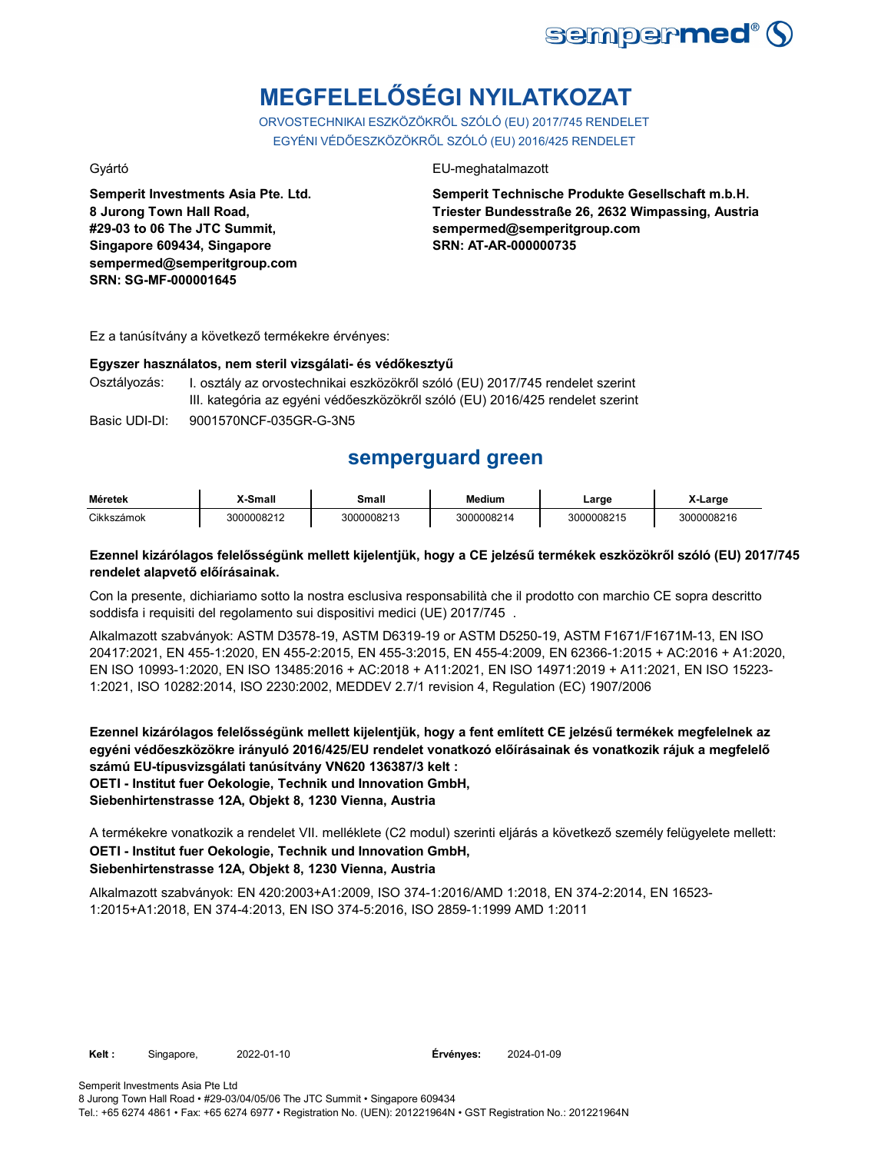

# **MEGFELELŐSÉGI NYILATKOZAT**

ORVOSTECHNIKAI ESZKÖZÖKRŐL SZÓLÓ (EU) 2017/745 RENDELET EGYÉNI VÉDŐESZKÖZÖKRŐL SZÓLÓ (EU) 2016/425 RENDELET

**Semperit Investments Asia Pte. Ltd. 8 Jurong Town Hall Road, #29-03 to 06 The JTC Summit, Singapore 609434, Singapore sempermed@semperitgroup.com SRN: SG-MF-000001645**

#### Gyártó EU-meghatalmazott

**Semperit Technische Produkte Gesellschaft m.b.H. Triester Bundesstraße 26, 2632 Wimpassing, Austria sempermed@semperitgroup.com SRN: AT-AR-000000735**

Ez a tanúsítvány a következő termékekre érvényes:

# **Egyszer használatos, nem steril vizsgálati- és védőkesztyű**

I. osztály az orvostechnikai eszközökről szóló (EU) 2017/745 rendelet szerint III. kategória az egyéni védőeszközökről szóló (EU) 2016/425 rendelet szerint

Basic UDI-DI: 9001570NCF-035GR-G-3N5

## **semperguard green**

| Méretek    | X-Small    | Small      | <b>Medium</b> | Large      | X-Large    |
|------------|------------|------------|---------------|------------|------------|
| Cikkszámok | 3000008212 | 3000008213 | 3000008214    | 3000008215 | 3000008216 |

### **Ezennel kizárólagos felelősségünk mellett kijelentjük, hogy a CE jelzésű termékek eszközökről szóló (EU) 2017/745 rendelet alapvető előírásainak.**

Con la presente, dichiariamo sotto la nostra esclusiva responsabilità che il prodotto con marchio CE sopra descritto soddisfa i requisiti del regolamento sui dispositivi medici (UE) 2017/745 .

Alkalmazott szabványok: ASTM D3578-19, ASTM D6319-19 or ASTM D5250-19, ASTM F1671/F1671M-13, EN ISO 20417:2021, EN 455-1:2020, EN 455-2:2015, EN 455-3:2015, EN 455-4:2009, EN 62366-1:2015 + AC:2016 + A1:2020, EN ISO 10993-1:2020, EN ISO 13485:2016 + AC:2018 + A11:2021, EN ISO 14971:2019 + A11:2021, EN ISO 15223- 1:2021, ISO 10282:2014, ISO 2230:2002, MEDDEV 2.7/1 revision 4, Regulation (EC) 1907/2006

**Ezennel kizárólagos felelősségünk mellett kijelentjük, hogy a fent említett CE jelzésű termékek megfelelnek az egyéni védőeszközökre irányuló 2016/425/EU rendelet vonatkozó előírásainak és vonatkozik rájuk a megfelelő számú EU-típusvizsgálati tanúsítvány VN620 136387/3 kelt : OETI - Institut fuer Oekologie, Technik und Innovation GmbH, Siebenhirtenstrasse 12A, Objekt 8, 1230 Vienna, Austria**

A termékekre vonatkozik a rendelet VII. melléklete (C2 modul) szerinti eljárás a következő személy felügyelete mellett: **OETI - Institut fuer Oekologie, Technik und Innovation GmbH, Siebenhirtenstrasse 12A, Objekt 8, 1230 Vienna, Austria**

Alkalmazott szabványok: EN 420:2003+A1:2009, ISO 374-1:2016/AMD 1:2018, EN 374-2:2014, EN 16523- 1:2015+A1:2018, EN 374-4:2013, EN ISO 374-5:2016, ISO 2859-1:1999 AMD 1:2011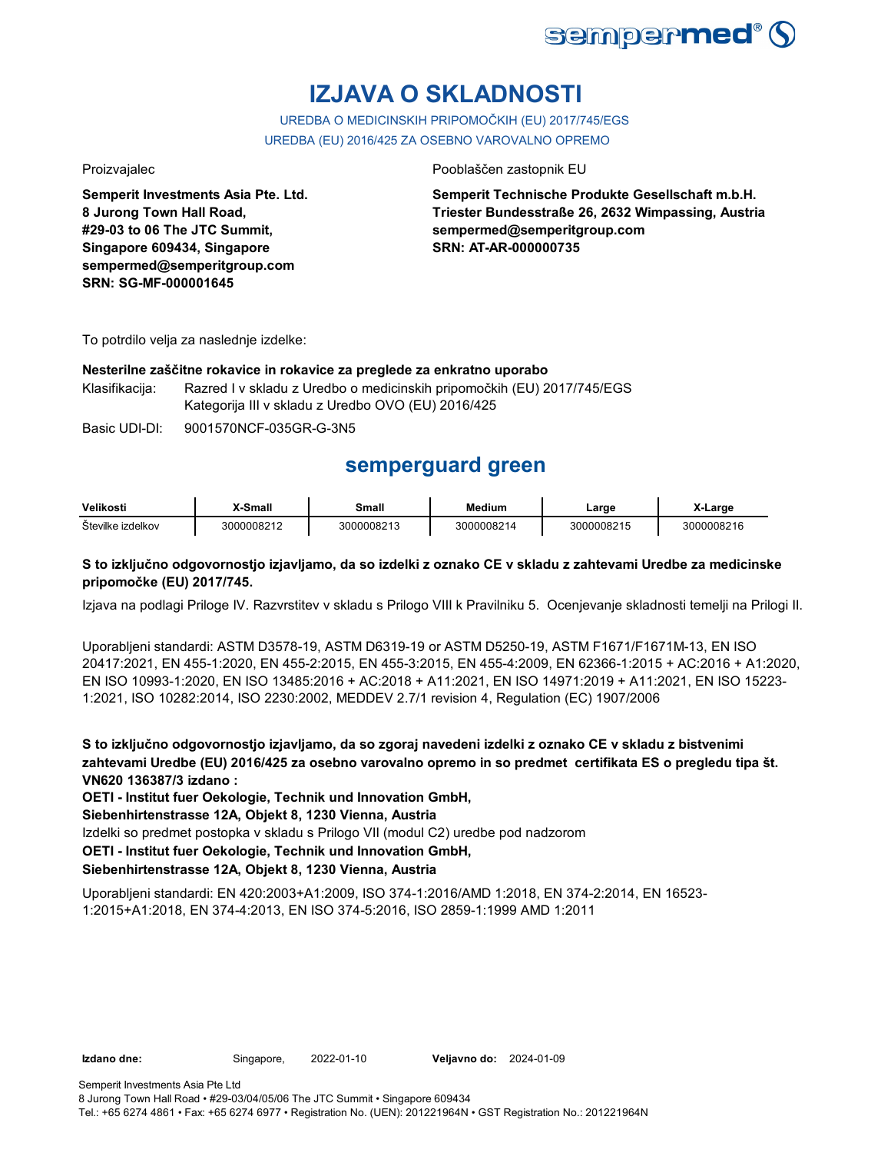

# **IZJAVA O SKLADNOSTI**

UREDBA O MEDICINSKIH PRIPOMOČKIH (EU) 2017/745/EGS UREDBA (EU) 2016/425 ZA OSEBNO VAROVALNO OPREMO

**Semperit Investments Asia Pte. Ltd. 8 Jurong Town Hall Road, #29-03 to 06 The JTC Summit, Singapore 609434, Singapore sempermed@semperitgroup.com SRN: SG-MF-000001645**

#### Proizvajalec Pooblaščen zastopnik EU

**Semperit Technische Produkte Gesellschaft m.b.H. Triester Bundesstraße 26, 2632 Wimpassing, Austria sempermed@semperitgroup.com SRN: AT-AR-000000735**

To potrdilo velja za naslednje izdelke:

### **Nesterilne zaščitne rokavice in rokavice za preglede za enkratno uporabo**

Klasifikacija: Razred I v skladu z Uredbo o medicinskih pripomočkih (EU) 2017/745/EGS Kategorija III v skladu z Uredbo OVO (EU) 2016/425

Basic UDI-DI: 9001570NCF-035GR-G-3N5

## **semperguard green**

| Velikosti         | <sup>∨</sup> Small | Small      | Medium     | Large      | …∟arɑe     |
|-------------------|--------------------|------------|------------|------------|------------|
| Številke izdelkov | 3000008212         | 3000008213 | 3000008214 | 3000008215 | 3000008216 |

### **S to izključno odgovornostjo izjavljamo, da so izdelki z oznako CE v skladu z zahtevami Uredbe za medicinske pripomočke (EU) 2017/745.**

Izjava na podlagi Priloge IV. Razvrstitev v skladu s Prilogo VIII k Pravilniku 5. Ocenjevanje skladnosti temelji na Prilogi II.

Uporabljeni standardi: ASTM D3578-19, ASTM D6319-19 or ASTM D5250-19, ASTM F1671/F1671M-13, EN ISO 20417:2021, EN 455-1:2020, EN 455-2:2015, EN 455-3:2015, EN 455-4:2009, EN 62366-1:2015 + AC:2016 + A1:2020, EN ISO 10993-1:2020, EN ISO 13485:2016 + AC:2018 + A11:2021, EN ISO 14971:2019 + A11:2021, EN ISO 15223- 1:2021, ISO 10282:2014, ISO 2230:2002, MEDDEV 2.7/1 revision 4, Regulation (EC) 1907/2006

**S to izključno odgovornostjo izjavljamo, da so zgoraj navedeni izdelki z oznako CE v skladu z bistvenimi zahtevami Uredbe (EU) 2016/425 za osebno varovalno opremo in so predmet certifikata ES o pregledu tipa št. VN620 136387/3 izdano :**

**OETI - Institut fuer Oekologie, Technik und Innovation GmbH,** 

**Siebenhirtenstrasse 12A, Objekt 8, 1230 Vienna, Austria**

Izdelki so predmet postopka v skladu s Prilogo VII (modul C2) uredbe pod nadzorom

**OETI - Institut fuer Oekologie, Technik und Innovation GmbH,** 

### **Siebenhirtenstrasse 12A, Objekt 8, 1230 Vienna, Austria**

Uporabljeni standardi: EN 420:2003+A1:2009, ISO 374-1:2016/AMD 1:2018, EN 374-2:2014, EN 16523- 1:2015+A1:2018, EN 374-4:2013, EN ISO 374-5:2016, ISO 2859-1:1999 AMD 1:2011

**Izdano dne:** Singapore, **Veljavno do:** 2022-01-10 2024-01-09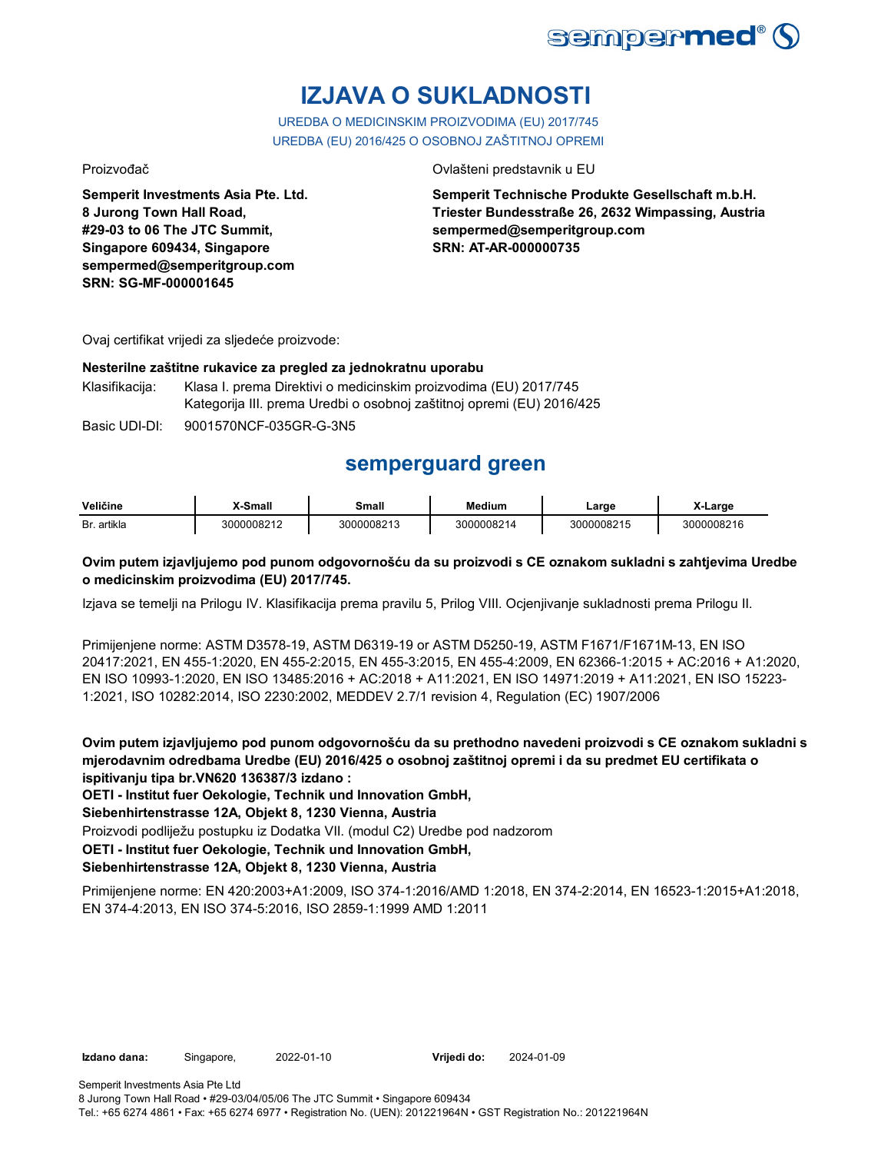

# **IZJAVA O SUKLADNOSTI**

UREDBA O MEDICINSKIM PROIZVODIMA (EU) 2017/745 UREDBA (EU) 2016/425 O OSOBNOJ ZAŠTITNOJ OPREMI

**Semperit Investments Asia Pte. Ltd. 8 Jurong Town Hall Road, #29-03 to 06 The JTC Summit, Singapore 609434, Singapore sempermed@semperitgroup.com SRN: SG-MF-000001645**

#### Proizvođač Ovlašteni predstavnik u EU

**Semperit Technische Produkte Gesellschaft m.b.H. Triester Bundesstraße 26, 2632 Wimpassing, Austria sempermed@semperitgroup.com SRN: AT-AR-000000735**

Ovaj certifikat vrijedi za sljedeće proizvode:

#### **Nesterilne zaštitne rukavice za pregled za jednokratnu uporabu**

Klasifikacija: Klasa I. prema Direktivi o medicinskim proizvodima (EU) 2017/745 Kategorija III. prema Uredbi o osobnoj zaštitnoj opremi (EU) 2016/425

Basic UDI-DI: 9001570NCF-035GR-G-3N5

## **semperguard green**

| Veličine       | <b>Smal</b>  | small            | Medium   | ∟arɑe    | -arge        |
|----------------|--------------|------------------|----------|----------|--------------|
| artikla<br>Br. | .,,,,000821^ | 0008213<br>21 11 | 10008214 | 00008215 | ٦Π<br>ገበበበጸኃ |

### **Ovim putem izjavljujemo pod punom odgovornošću da su proizvodi s CE oznakom sukladni s zahtjevima Uredbe o medicinskim proizvodima (EU) 2017/745.**

Izjava se temelji na Prilogu IV. Klasifikacija prema pravilu 5, Prilog VIII. Ocjenjivanje sukladnosti prema Prilogu II.

Primijenjene norme: ASTM D3578-19, ASTM D6319-19 or ASTM D5250-19, ASTM F1671/F1671M-13, EN ISO 20417:2021, EN 455-1:2020, EN 455-2:2015, EN 455-3:2015, EN 455-4:2009, EN 62366-1:2015 + AC:2016 + A1:2020, EN ISO 10993-1:2020, EN ISO 13485:2016 + AC:2018 + A11:2021, EN ISO 14971:2019 + A11:2021, EN ISO 15223- 1:2021, ISO 10282:2014, ISO 2230:2002, MEDDEV 2.7/1 revision 4, Regulation (EC) 1907/2006

**Ovim putem izjavljujemo pod punom odgovornošću da su prethodno navedeni proizvodi s CE oznakom sukladni s mjerodavnim odredbama Uredbe (EU) 2016/425 o osobnoj zaštitnoj opremi i da su predmet EU certifikata o ispitivanju tipa br.VN620 136387/3 izdano :**

**OETI - Institut fuer Oekologie, Technik und Innovation GmbH,** 

**Siebenhirtenstrasse 12A, Objekt 8, 1230 Vienna, Austria**

Proizvodi podliježu postupku iz Dodatka VII. (modul C2) Uredbe pod nadzorom

**OETI - Institut fuer Oekologie, Technik und Innovation GmbH,** 

### **Siebenhirtenstrasse 12A, Objekt 8, 1230 Vienna, Austria**

Primijenjene norme: EN 420:2003+A1:2009, ISO 374-1:2016/AMD 1:2018, EN 374-2:2014, EN 16523-1:2015+A1:2018, EN 374-4:2013, EN ISO 374-5:2016, ISO 2859-1:1999 AMD 1:2011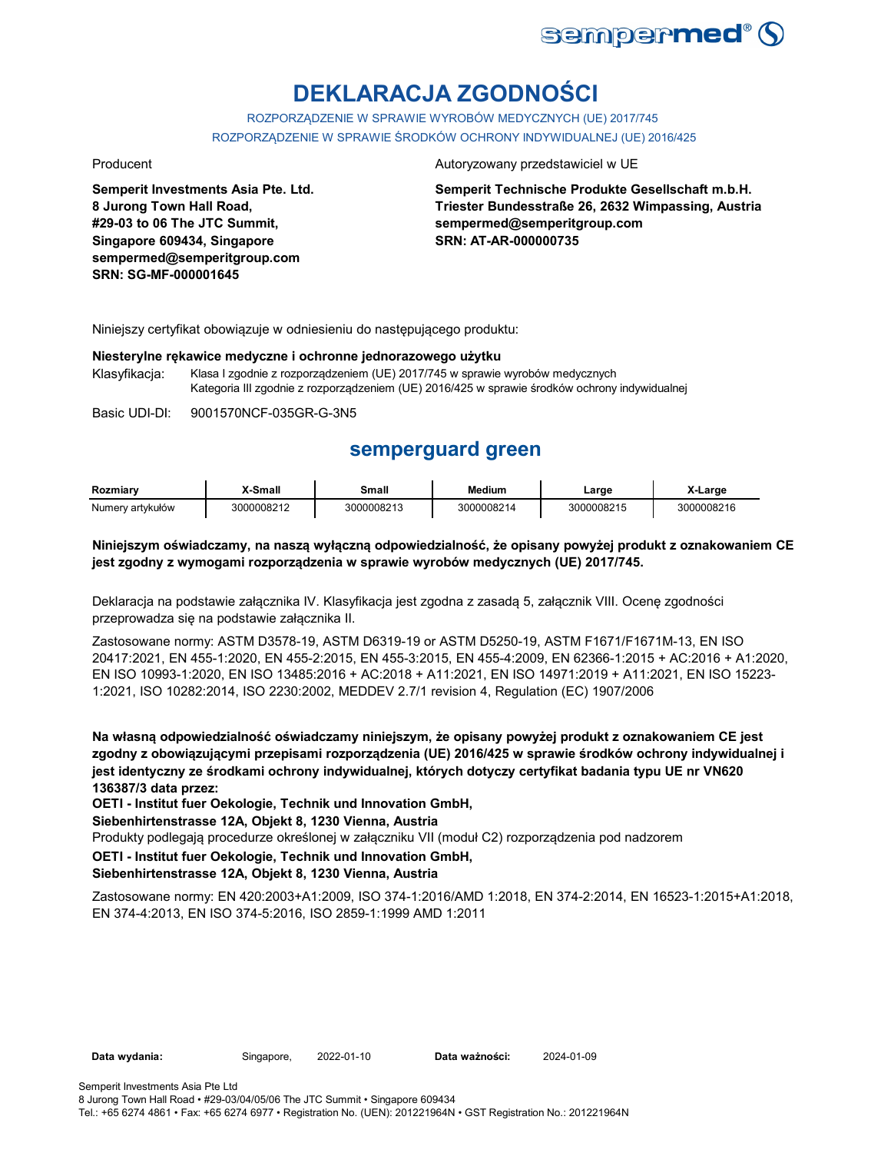

# **DEKLARACJA ZGODNOŚCI**

ROZPORZĄDZENIE W SPRAWIE WYROBÓW MEDYCZNYCH (UE) 2017/745 ROZPORZĄDZENIE W SPRAWIE ŚRODKÓW OCHRONY INDYWIDUALNEJ (UE) 2016/425

**Semperit Investments Asia Pte. Ltd. 8 Jurong Town Hall Road, #29-03 to 06 The JTC Summit, Singapore 609434, Singapore sempermed@semperitgroup.com SRN: SG-MF-000001645**

#### Producent **Autoryzowany przedstawiciel w UE**

**Semperit Technische Produkte Gesellschaft m.b.H. Triester Bundesstraße 26, 2632 Wimpassing, Austria sempermed@semperitgroup.com SRN: AT-AR-000000735**

Niniejszy certyfikat obowiązuje w odniesieniu do następującego produktu:

#### **Niesterylne rękawice medyczne i ochronne jednorazowego użytku**

Klasyfikacja: Klasa I zgodnie z rozporządzeniem (UE) 2017/745 w sprawie wyrobów medycznych Kategoria III zgodnie z rozporządzeniem (UE) 2016/425 w sprawie środków ochrony indywidualnej

Basic UDI-DI: 9001570NCF-035GR-G-3N5

## **semperguard green**

| Rozmiarv         | -Small     | Small      | Medium     | ∟arge      | X-Large    |
|------------------|------------|------------|------------|------------|------------|
| Numery artykułów | 3000008212 | 3000008213 | 3000008214 | 3000008215 | 3000008216 |

#### **Niniejszym oświadczamy, na naszą wyłączną odpowiedzialność, że opisany powyżej produkt z oznakowaniem CE jest zgodny z wymogami rozporządzenia w sprawie wyrobów medycznych (UE) 2017/745.**

Deklaracja na podstawie załącznika IV. Klasyfikacja jest zgodna z zasadą 5, załącznik VIII. Ocenę zgodności przeprowadza się na podstawie załącznika II.

Zastosowane normy: ASTM D3578-19, ASTM D6319-19 or ASTM D5250-19, ASTM F1671/F1671M-13, EN ISO 20417:2021, EN 455-1:2020, EN 455-2:2015, EN 455-3:2015, EN 455-4:2009, EN 62366-1:2015 + AC:2016 + A1:2020, EN ISO 10993-1:2020, EN ISO 13485:2016 + AC:2018 + A11:2021, EN ISO 14971:2019 + A11:2021, EN ISO 15223- 1:2021, ISO 10282:2014, ISO 2230:2002, MEDDEV 2.7/1 revision 4, Regulation (EC) 1907/2006

**Na własną odpowiedzialność oświadczamy niniejszym, że opisany powyżej produkt z oznakowaniem CE jest zgodny z obowiązującymi przepisami rozporządzenia (UE) 2016/425 w sprawie środków ochrony indywidualnej i jest identyczny ze środkami ochrony indywidualnej, których dotyczy certyfikat badania typu UE nr VN620 136387/3 data przez:**

**OETI - Institut fuer Oekologie, Technik und Innovation GmbH,** 

**Siebenhirtenstrasse 12A, Objekt 8, 1230 Vienna, Austria**

Produkty podlegają procedurze określonej w załączniku VII (moduł C2) rozporządzenia pod nadzorem

**OETI - Institut fuer Oekologie, Technik und Innovation GmbH,** 

#### **Siebenhirtenstrasse 12A, Objekt 8, 1230 Vienna, Austria**

Zastosowane normy: EN 420:2003+A1:2009, ISO 374-1:2016/AMD 1:2018, EN 374-2:2014, EN 16523-1:2015+A1:2018, EN 374-4:2013, EN ISO 374-5:2016, ISO 2859-1:1999 AMD 1:2011

Data ważności: 2024-01-09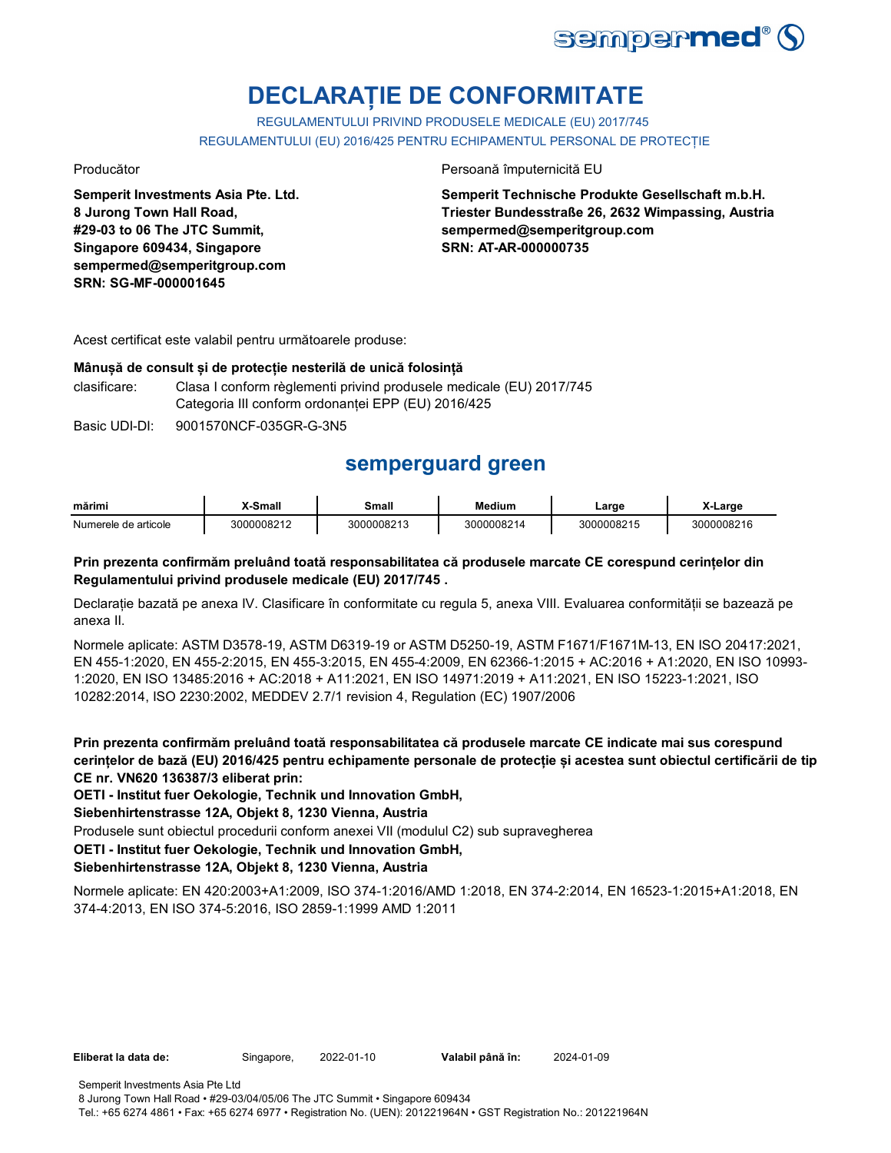

# **DECLARAȚIE DE CONFORMITATE**

REGULAMENTULUI PRIVIND PRODUSELE MEDICALE (EU) 2017/745 REGULAMENTULUI (EU) 2016/425 PENTRU ECHIPAMENTUL PERSONAL DE PROTECȚIE

**Semperit Investments Asia Pte. Ltd. 8 Jurong Town Hall Road, #29-03 to 06 The JTC Summit, Singapore 609434, Singapore sempermed@semperitgroup.com SRN: SG-MF-000001645**

#### Producător Persoană împuternicită EU

**Semperit Technische Produkte Gesellschaft m.b.H. Triester Bundesstraße 26, 2632 Wimpassing, Austria sempermed@semperitgroup.com SRN: AT-AR-000000735**

Acest certificat este valabil pentru următoarele produse:

#### **Mânușă de consult și de protecție nesterilă de unică folosință**

clasificare: Clasa I conform règlementi privind produsele medicale (EU) 2017/745 Categoria III conform ordonanței EPP (EU) 2016/425

Basic UDI-DI: 9001570NCF-035GR-G-3N5

## **semperguard green**

| mărimi               | <b>Small</b> | Small      | Medium     | _arge      | <b>Large</b> |
|----------------------|--------------|------------|------------|------------|--------------|
| Numerele de articole | 3000008212   | 3000008213 | 3000008214 | 3000008215 | 3000008216   |

#### **Prin prezenta confirmăm preluând toată responsabilitatea că produsele marcate CE corespund cerințelor din Regulamentului privind produsele medicale (EU) 2017/745 .**

Declarație bazată pe anexa IV. Clasificare în conformitate cu regula 5, anexa VIII. Evaluarea conformității se bazează pe anexa II.

Normele aplicate: ASTM D3578-19, ASTM D6319-19 or ASTM D5250-19, ASTM F1671/F1671M-13, EN ISO 20417:2021, EN 455-1:2020, EN 455-2:2015, EN 455-3:2015, EN 455-4:2009, EN 62366-1:2015 + AC:2016 + A1:2020, EN ISO 10993- 1:2020, EN ISO 13485:2016 + AC:2018 + A11:2021, EN ISO 14971:2019 + A11:2021, EN ISO 15223-1:2021, ISO 10282:2014, ISO 2230:2002, MEDDEV 2.7/1 revision 4, Regulation (EC) 1907/2006

**Prin prezenta confirmăm preluând toată responsabilitatea că produsele marcate CE indicate mai sus corespund cerințelor de bază (EU) 2016/425 pentru echipamente personale de protecție și acestea sunt obiectul certificării de tip CE nr. VN620 136387/3 eliberat prin:**

**OETI - Institut fuer Oekologie, Technik und Innovation GmbH,** 

**Siebenhirtenstrasse 12A, Objekt 8, 1230 Vienna, Austria**

Produsele sunt obiectul procedurii conform anexei VII (modulul C2) sub supravegherea

**OETI - Institut fuer Oekologie, Technik und Innovation GmbH,** 

#### **Siebenhirtenstrasse 12A, Objekt 8, 1230 Vienna, Austria**

Normele aplicate: EN 420:2003+A1:2009, ISO 374-1:2016/AMD 1:2018, EN 374-2:2014, EN 16523-1:2015+A1:2018, EN 374-4:2013, EN ISO 374-5:2016, ISO 2859-1:1999 AMD 1:2011

**Eliberat la data de:** Singapore, 2022-01-10

8 Jurong Town Hall Road • #29-03/04/05/06 The JTC Summit • Singapore 609434 Tel.: +65 6274 4861 • Fax: +65 6274 6977 • Registration No. (UEN): 201221964N • GST Registration No.: 201221964N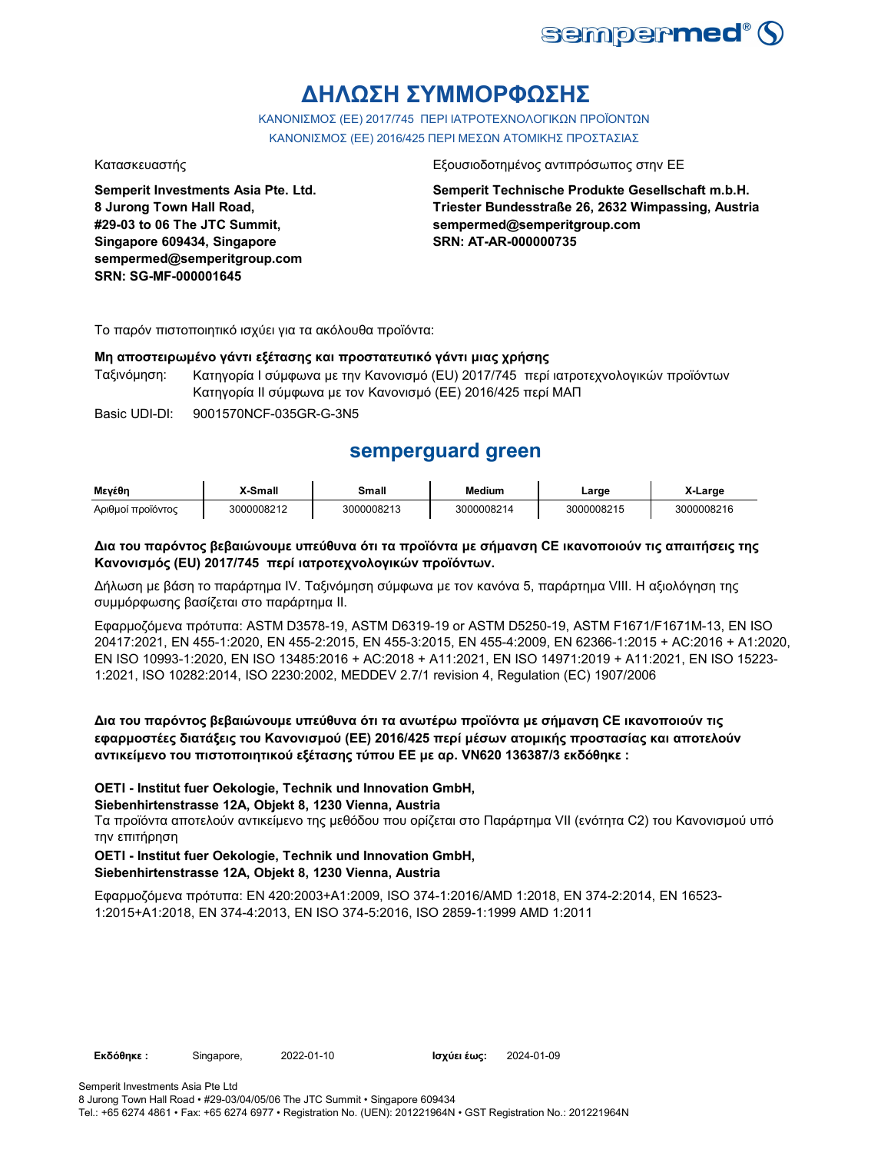

# **ΔΗΛΩΣΗ ΣΥΜΜΟΡΦΩΣΗΣ**

ΚΑΝΟΝΙΣΜΟΣ (EE) 2017/745 ΠΕΡΙ ΙΑΤΡΟΤΕΧΝΟΛΟΓΙΚΩΝ ΠΡΟΪΟΝΤΩΝ ΚΑΝΟΝΙΣΜΟΣ (ΕΕ) 2016/425 ΠΕΡΙ ΜΕΣΩΝ ΑΤΟΜΙΚΗΣ ΠΡΟΣΤΑΣΙΑΣ

**Semperit Investments Asia Pte. Ltd. 8 Jurong Town Hall Road, #29-03 to 06 The JTC Summit, Singapore 609434, Singapore sempermed@semperitgroup.com SRN: SG-MF-000001645**

#### Κατασκευαστής Εξουσιοδοτημένος αντιπρόσωπος στην ΕΕ

**Semperit Technische Produkte Gesellschaft m.b.H. Triester Bundesstraße 26, 2632 Wimpassing, Austria sempermed@semperitgroup.com SRN: AT-AR-000000735**

Το παρόν πιστοποιητικό ισχύει για τα ακόλουθα προϊόντα:

#### **Μη αποστειρωμένο γάντι εξέτασης και προστατευτικό γάντι μιας χρήσης**

Ταξινόμηση: Κατηγορία I σύμφωνα με την Κανονισμό (EU) 2017/745 περί ιατροτεχνολογικών προϊόντων Κατηγορία II σύμφωνα με τον Κανονισμό (ΕΕ) 2016/425 περί ΜΑΠ

Basic UDI-DI: 9001570NCF-035GR-G-3N5

## **semperguard green**

| Μενέθη                                   | X-Small | <b>Small</b><br>______ | Medium     | ∟arge       | Large              |
|------------------------------------------|---------|------------------------|------------|-------------|--------------------|
| $\cdots$<br>Αοιθμοί<br><b>TTOOIOVTOC</b> | 0008212 | 3000008213             | 3000008214 | لـ300000821 | 8216<br>. ∠3000008 |

#### **Δια του παρόντος βεβαιώνουμε υπεύθυνα ότι τα προϊόντα με σήμανση CE ικανοποιούν τις απαιτήσεις της Κανονισμός (EU) 2017/745 περί ιατροτεχνολογικών προϊόντων.**

Δήλωση με βάση το παράρτημα IV. Ταξινόμηση σύμφωνα με τον κανόνα 5, παράρτημα VIII. Η αξιολόγηση της συμμόρφωσης βασίζεται στο παράρτημα II.

Εφαρμοζόμενα πρότυπα: ASTM D3578-19, ASTM D6319-19 or ASTM D5250-19, ASTM F1671/F1671M-13, EN ISO 20417:2021, EN 455-1:2020, EN 455-2:2015, EN 455-3:2015, EN 455-4:2009, EN 62366-1:2015 + AC:2016 + A1:2020, EN ISO 10993-1:2020, EN ISO 13485:2016 + AC:2018 + A11:2021, EN ISO 14971:2019 + A11:2021, EN ISO 15223- 1:2021, ISO 10282:2014, ISO 2230:2002, MEDDEV 2.7/1 revision 4, Regulation (EC) 1907/2006

### **Δια του παρόντος βεβαιώνουμε υπεύθυνα ότι τα ανωτέρω προϊόντα με σήμανση CE ικανοποιούν τις εφαρμοστέες διατάξεις του Κανονισμού (ΕΕ) 2016/425 περί μέσων ατομικής προστασίας και αποτελούν αντικείμενο του πιστοποιητικού εξέτασης τύπου ΕΕ με αρ. VN620 136387/3 εκδόθηκε :**

#### **OETI - Institut fuer Oekologie, Technik und Innovation GmbH,**

#### **Siebenhirtenstrasse 12A, Objekt 8, 1230 Vienna, Austria**

Τα προϊόντα αποτελούν αντικείμενο της μεθόδου που ορίζεται στο Παράρτημα VII (ενότητα C2) του Κανονισμού υπό την επιτήρηση

#### **OETI - Institut fuer Oekologie, Technik und Innovation GmbH, Siebenhirtenstrasse 12A, Objekt 8, 1230 Vienna, Austria**

Εφαρμοζόμενα πρότυπα: EN 420:2003+A1:2009, ISO 374-1:2016/AMD 1:2018, EN 374-2:2014, EN 16523- 1:2015+A1:2018, EN 374-4:2013, EN ISO 374-5:2016, ISO 2859-1:1999 AMD 1:2011

**Εκδόθηκε:** Singapore, 2022-01-10

Ισχύει έως: 2024-01-09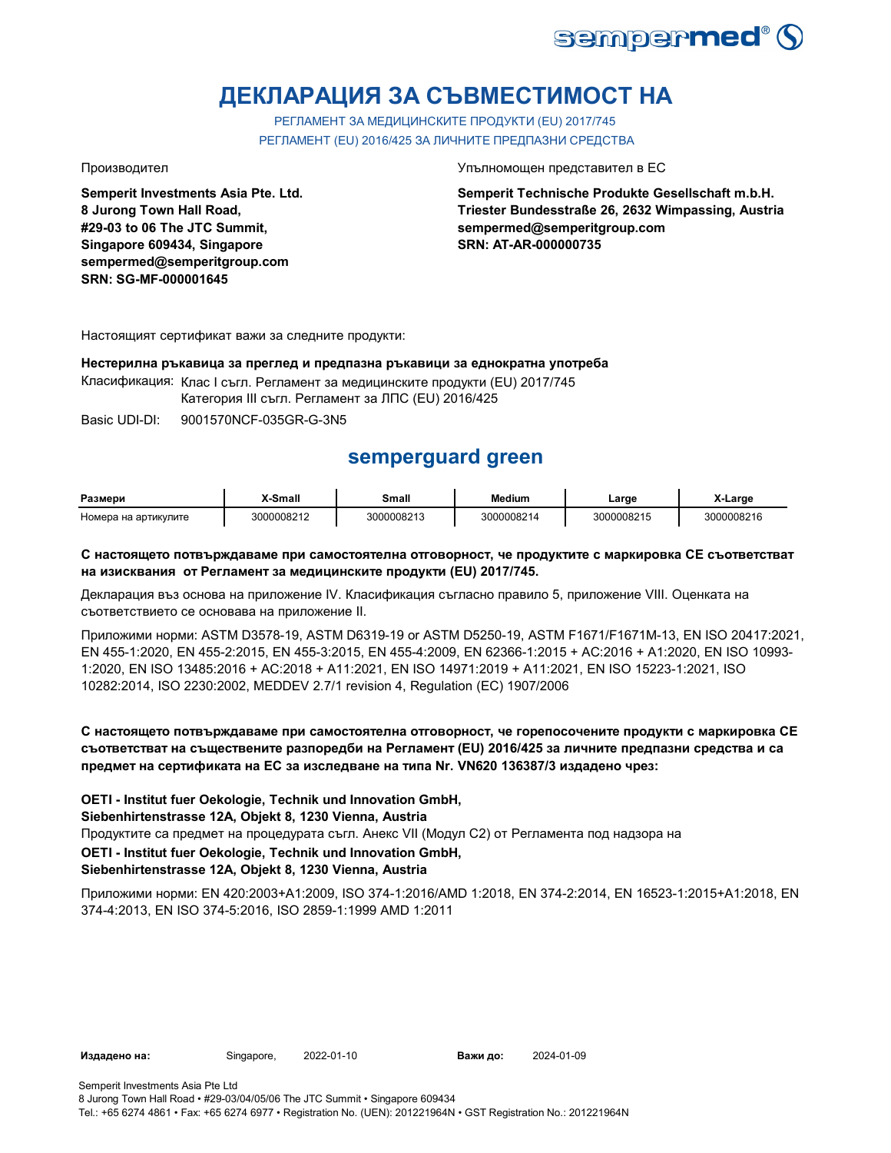

# **ДЕКЛАРАЦИЯ ЗА СЪВМЕСТИМОСТ НА**

РЕГЛАМЕНТ ЗА МЕДИЦИНСКИТЕ ПРОДУКТИ (EU) 2017/745 РЕГЛАМЕНТ (EU) 2016/425 ЗА ЛИЧНИТЕ ПРЕДПАЗНИ СРЕДСТВА

**Semperit Investments Asia Pte. Ltd. 8 Jurong Town Hall Road, #29-03 to 06 The JTC Summit, Singapore 609434, Singapore sempermed@semperitgroup.com SRN: SG-MF-000001645**

#### Производител Упълномощен представител в ЕС

**Semperit Technische Produkte Gesellschaft m.b.H. Triester Bundesstraße 26, 2632 Wimpassing, Austria sempermed@semperitgroup.com SRN: AT-AR-000000735**

Настоящият сертификат важи за следните продукти:

#### **Нестерилна ръкавица за преглед и предпазна ръкавици за еднократна употреба**

Класификация: Клас I съгл. Регламент за медицинските продукти (EU) 2017/745

Категория III съгл. Регламент за ЛПС (EU) 2016/425

Basic UDI-DI: 9001570NCF-035GR-G-3N5

## **semperguard green**

| Размери              | X-Small    | Small      | Medium     | ∟arɑe      | -Large     |
|----------------------|------------|------------|------------|------------|------------|
| Номера на артикулите | 3000008212 | 3000008213 | 3000008214 | 3000008215 | 3000008216 |

#### **С настоящето потвърждаваме при самостоятелна отговорност, че продуктите с маркировка СЕ съответстват на изисквания от Регламент за медицинските продукти (EU) 2017/745.**

Декларация въз основа на приложение IV. Класификация съгласно правило 5, приложение VIII. Оценката на съответствието се основава на приложение II.

Приложими норми: ASTM D3578-19, ASTM D6319-19 or ASTM D5250-19, ASTM F1671/F1671M-13, EN ISO 20417:2021, EN 455-1:2020, EN 455-2:2015, EN 455-3:2015, EN 455-4:2009, EN 62366-1:2015 + AC:2016 + A1:2020, EN ISO 10993- 1:2020, EN ISO 13485:2016 + AC:2018 + A11:2021, EN ISO 14971:2019 + A11:2021, EN ISO 15223-1:2021, ISO 10282:2014, ISO 2230:2002, MEDDEV 2.7/1 revision 4, Regulation (EC) 1907/2006

### **С настоящето потвърждаваме при самостоятелна отговорност, че горепосочените продукти с маркировка СЕ съответстват на съществените разпоредби на Регламент (EU) 2016/425 за личните предпазни средства и са предмет на сертификата на ЕС за изследване на типа Nr. VN620 136387/3 издадено чрез:**

**OETI - Institut fuer Oekologie, Technik und Innovation GmbH,** 

### **Siebenhirtenstrasse 12A, Objekt 8, 1230 Vienna, Austria**

Продуктите са предмет на процедурата съгл. Анекс VII (Модул С2) от Регламента под надзора на

**OETI - Institut fuer Oekologie, Technik und Innovation GmbH,** 

### **Siebenhirtenstrasse 12A, Objekt 8, 1230 Vienna, Austria**

Приложими норми: EN 420:2003+A1:2009, ISO 374-1:2016/AMD 1:2018, EN 374-2:2014, EN 16523-1:2015+A1:2018, EN 374-4:2013, EN ISO 374-5:2016, ISO 2859-1:1999 AMD 1:2011

**Издадено на:** Singapore, 2022-01-10

Важи до: 2024-01-09